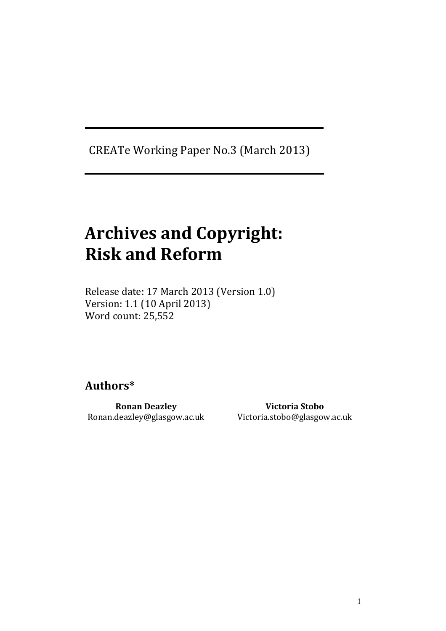CREATe Working Paper No.3 (March 2013)

# Archives and Copyright: Risk and Reform

Release date: 17 March 2013 (Version 1.0) Version: 1.1 (10 April 2013) Word count: 25,552

# Authors\*

Ronan Deazley Ronan.deazley@glasgow.ac.uk

Victoria Stobo Victoria.stobo@glasgow.ac.uk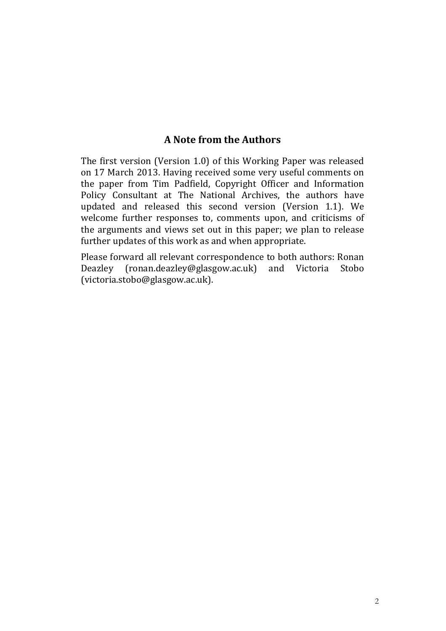# A Note from the Authors

The first version (Version 1.0) of this Working Paper was released on 17 March 2013. Having received some very useful comments on the paper from Tim Padfield, Copyright Officer and Information Policy Consultant at The National Archives, the authors have updated and released this second version (Version 1.1). We welcome further responses to, comments upon, and criticisms of the arguments and views set out in this paper; we plan to release further updates of this work as and when appropriate.

Please forward all relevant correspondence to both authors: Ronan Deazley (ronan.deazley@glasgow.ac.uk) and Victoria Stobo (victoria.stobo@glasgow.ac.uk).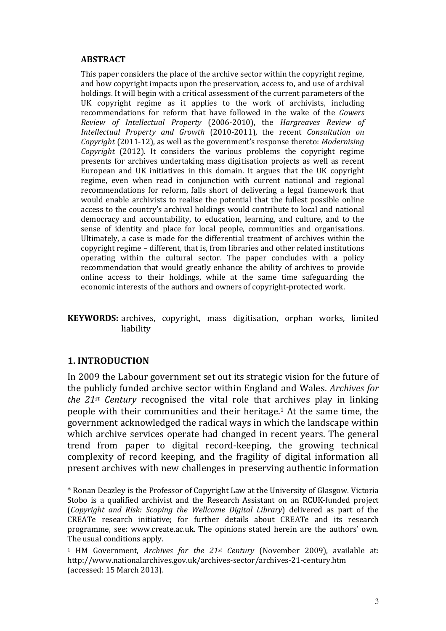#### ABSTRACT

This paper considers the place of the archive sector within the copyright regime, and how copyright impacts upon the preservation, access to, and use of archival holdings. It will begin with a critical assessment of the current parameters of the UK copyright regime as it applies to the work of archivists, including recommendations for reform that have followed in the wake of the Gowers Review of Intellectual Property (2006-2010), the Hargreaves Review of Intellectual Property and Growth (2010-2011), the recent Consultation on Copyright (2011-12), as well as the government's response thereto: Modernising Copyright (2012). It considers the various problems the copyright regime presents for archives undertaking mass digitisation projects as well as recent European and UK initiatives in this domain. It argues that the UK copyright regime, even when read in conjunction with current national and regional recommendations for reform, falls short of delivering a legal framework that would enable archivists to realise the potential that the fullest possible online access to the country's archival holdings would contribute to local and national democracy and accountability, to education, learning, and culture, and to the sense of identity and place for local people, communities and organisations. Ultimately, a case is made for the differential treatment of archives within the copyright regime – different, that is, from libraries and other related institutions operating within the cultural sector. The paper concludes with a policy recommendation that would greatly enhance the ability of archives to provide online access to their holdings, while at the same time safeguarding the economic interests of the authors and owners of copyright-protected work.

KEYWORDS: archives, copyright, mass digitisation, orphan works, limited liability

#### 1. INTRODUCTION

 $\overline{a}$ 

In 2009 the Labour government set out its strategic vision for the future of the publicly funded archive sector within England and Wales. Archives for the  $21st$  Century recognised the vital role that archives play in linking people with their communities and their heritage.1 At the same time, the government acknowledged the radical ways in which the landscape within which archive services operate had changed in recent years. The general trend from paper to digital record-keeping, the growing technical complexity of record keeping, and the fragility of digital information all present archives with new challenges in preserving authentic information

<sup>\*</sup> Ronan Deazley is the Professor of Copyright Law at the University of Glasgow. Victoria Stobo is a qualified archivist and the Research Assistant on an RCUK-funded project (Copyright and Risk: Scoping the Wellcome Digital Library) delivered as part of the CREATe research initiative; for further details about CREATe and its research programme, see: www.create.ac.uk. The opinions stated herein are the authors' own. The usual conditions apply.

<sup>&</sup>lt;sup>1</sup> HM Government, *Archives for the 21<sup>st</sup> Century* (November 2009), available at: http://www.nationalarchives.gov.uk/archives-sector/archives-21-century.htm (accessed: 15 March 2013).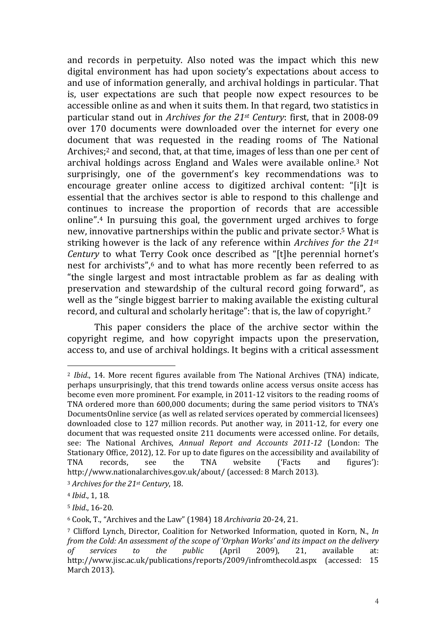and records in perpetuity. Also noted was the impact which this new digital environment has had upon society's expectations about access to and use of information generally, and archival holdings in particular. That is, user expectations are such that people now expect resources to be accessible online as and when it suits them. In that regard, two statistics in particular stand out in Archives for the 21st Century: first, that in 2008-09 over 170 documents were downloaded over the internet for every one document that was requested in the reading rooms of The National Archives;<sup>2</sup> and second, that, at that time, images of less than one per cent of archival holdings across England and Wales were available online.3 Not surprisingly, one of the government's key recommendations was to encourage greater online access to digitized archival content: "[i]t is essential that the archives sector is able to respond to this challenge and continues to increase the proportion of records that are accessible online".4 In pursuing this goal, the government urged archives to forge new, innovative partnerships within the public and private sector.5 What is striking however is the lack of any reference within Archives for the 21st Century to what Terry Cook once described as "[t]he perennial hornet's nest for archivists",<sup>6</sup> and to what has more recently been referred to as "the single largest and most intractable problem as far as dealing with preservation and stewardship of the cultural record going forward", as well as the "single biggest barrier to making available the existing cultural record, and cultural and scholarly heritage": that is, the law of copyright.<sup>7</sup>

This paper considers the place of the archive sector within the copyright regime, and how copyright impacts upon the preservation, access to, and use of archival holdings. It begins with a critical assessment

<sup>2</sup> Ibid., 14. More recent figures available from The National Archives (TNA) indicate, perhaps unsurprisingly, that this trend towards online access versus onsite access has become even more prominent. For example, in 2011-12 visitors to the reading rooms of TNA ordered more than 600,000 documents; during the same period visitors to TNA's DocumentsOnline service (as well as related services operated by commercial licensees) downloaded close to 127 million records. Put another way, in 2011-12, for every one document that was requested onsite 211 documents were accessed online. For details, see: The National Archives, Annual Report and Accounts 2011-12 (London: The Stationary Office, 2012), 12. For up to date figures on the accessibility and availability of TNA records, see the TNA website ('Facts and figures'): http://www.nationalarchives.gov.uk/about/ (accessed: 8 March 2013).

<sup>&</sup>lt;sup>3</sup> Archives for the 21st Century, 18.

<sup>4</sup> Ibid., 1, 18.

<sup>5</sup> Ibid., 16-20.

<sup>6</sup> Cook, T., "Archives and the Law" (1984) 18 Archivaria 20-24, 21.

<sup>7</sup> Clifford Lynch, Director, Coalition for Networked Information, quoted in Korn, N., In from the Cold: An assessment of the scope of 'Orphan Works' and its impact on the delivery of services to the public (April 2009), 21, available at: http://www.jisc.ac.uk/publications/reports/2009/infromthecold.aspx (accessed: 15 March 2013).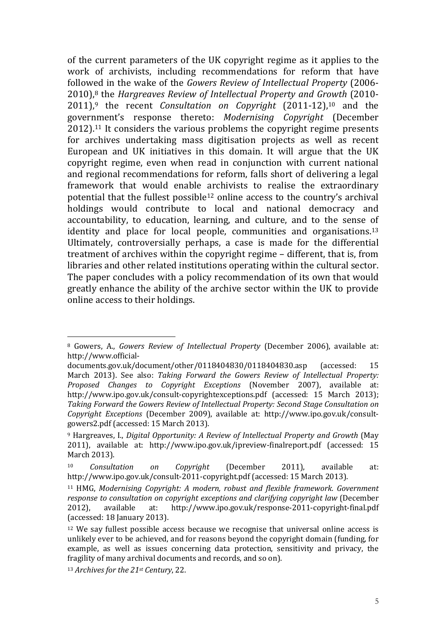of the current parameters of the UK copyright regime as it applies to the work of archivists, including recommendations for reform that have followed in the wake of the Gowers Review of Intellectual Property (2006- 2010),8 the Hargreaves Review of Intellectual Property and Growth (2010-  $2011$ <sup>9</sup>, the recent *Consultation on Copyright*  $(2011-12)$ <sup>10</sup> and the government's response thereto: Modernising Copyright (December 2012).11 It considers the various problems the copyright regime presents for archives undertaking mass digitisation projects as well as recent European and UK initiatives in this domain. It will argue that the UK copyright regime, even when read in conjunction with current national and regional recommendations for reform, falls short of delivering a legal framework that would enable archivists to realise the extraordinary potential that the fullest possible12 online access to the country's archival holdings would contribute to local and national democracy and accountability, to education, learning, and culture, and to the sense of identity and place for local people, communities and organisations.<sup>13</sup> Ultimately, controversially perhaps, a case is made for the differential treatment of archives within the copyright regime – different, that is, from libraries and other related institutions operating within the cultural sector. The paper concludes with a policy recommendation of its own that would greatly enhance the ability of the archive sector within the UK to provide online access to their holdings.

<sup>8</sup> Gowers, A., Gowers Review of Intellectual Property (December 2006), available at: http://www.official-

documents.gov.uk/document/other/0118404830/0118404830.asp (accessed: 15 March 2013). See also: Taking Forward the Gowers Review of Intellectual Property: Proposed Changes to Copyright Exceptions (November 2007), available at: http://www.ipo.gov.uk/consult-copyrightexceptions.pdf (accessed: 15 March 2013); Taking Forward the Gowers Review of Intellectual Property: Second Stage Consultation on Copyright Exceptions (December 2009), available at: http://www.ipo.gov.uk/consultgowers2.pdf (accessed: 15 March 2013).

<sup>9</sup> Hargreaves, I., Digital Opportunity: A Review of Intellectual Property and Growth (May 2011), available at: http://www.ipo.gov.uk/ipreview-finalreport.pdf (accessed: 15 March 2013).

Consultation on Copyright (December 2011), available at: http://www.ipo.gov.uk/consult-2011-copyright.pdf (accessed: 15 March 2013).

<sup>&</sup>lt;sup>11</sup> HMG, Modernising Copyright: A modern, robust and flexible framework. Government response to consultation on copyright exceptions and clarifying copyright law (December 2012), available at: http://www.ipo.gov.uk/response-2011-copyright-final.pdf (accessed: 18 January 2013).

<sup>&</sup>lt;sup>12</sup> We say fullest possible access because we recognise that universal online access is unlikely ever to be achieved, and for reasons beyond the copyright domain (funding, for example, as well as issues concerning data protection, sensitivity and privacy, the fragility of many archival documents and records, and so on).

<sup>13</sup> Archives for the 21st Century, 22.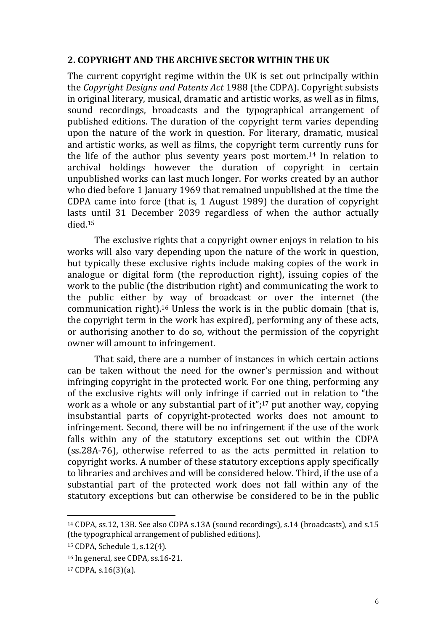#### 2. COPYRIGHT AND THE ARCHIVE SECTOR WITHIN THE UK

The current copyright regime within the UK is set out principally within the Copyright Designs and Patents Act 1988 (the CDPA). Copyright subsists in original literary, musical, dramatic and artistic works, as well as in films, sound recordings, broadcasts and the typographical arrangement of published editions. The duration of the copyright term varies depending upon the nature of the work in question. For literary, dramatic, musical and artistic works, as well as films, the copyright term currently runs for the life of the author plus seventy years post mortem.14 In relation to archival holdings however the duration of copyright in certain unpublished works can last much longer. For works created by an author who died before 1 January 1969 that remained unpublished at the time the CDPA came into force (that is, 1 August 1989) the duration of copyright lasts until 31 December 2039 regardless of when the author actually died.<sup>15</sup>

The exclusive rights that a copyright owner enjoys in relation to his works will also vary depending upon the nature of the work in question, but typically these exclusive rights include making copies of the work in analogue or digital form (the reproduction right), issuing copies of the work to the public (the distribution right) and communicating the work to the public either by way of broadcast or over the internet (the communication right).16 Unless the work is in the public domain (that is, the copyright term in the work has expired), performing any of these acts, or authorising another to do so, without the permission of the copyright owner will amount to infringement.

That said, there are a number of instances in which certain actions can be taken without the need for the owner's permission and without infringing copyright in the protected work. For one thing, performing any of the exclusive rights will only infringe if carried out in relation to "the work as a whole or any substantial part of it";<sup>17</sup> put another way, copying insubstantial parts of copyright-protected works does not amount to infringement. Second, there will be no infringement if the use of the work falls within any of the statutory exceptions set out within the CDPA (ss.28A-76), otherwise referred to as the acts permitted in relation to copyright works. A number of these statutory exceptions apply specifically to libraries and archives and will be considered below. Third, if the use of a substantial part of the protected work does not fall within any of the statutory exceptions but can otherwise be considered to be in the public

<sup>14</sup> CDPA, ss.12, 13B. See also CDPA s.13A (sound recordings), s.14 (broadcasts), and s.15 (the typographical arrangement of published editions).

<sup>15</sup> CDPA, Schedule 1, s.12(4).

<sup>16</sup> In general, see CDPA, ss.16-21.

<sup>17</sup> CDPA, s.16(3)(a).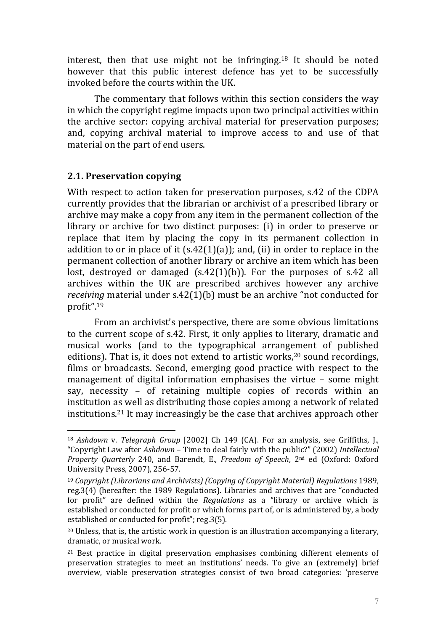interest, then that use might not be infringing.18 It should be noted however that this public interest defence has yet to be successfully invoked before the courts within the UK.

The commentary that follows within this section considers the way in which the copyright regime impacts upon two principal activities within the archive sector: copying archival material for preservation purposes; and, copying archival material to improve access to and use of that material on the part of end users.

# 2.1. Preservation copying

 $\overline{a}$ 

With respect to action taken for preservation purposes, s.42 of the CDPA currently provides that the librarian or archivist of a prescribed library or archive may make a copy from any item in the permanent collection of the library or archive for two distinct purposes: (i) in order to preserve or replace that item by placing the copy in its permanent collection in addition to or in place of it  $(s.42(1)(a))$ ; and, (ii) in order to replace in the permanent collection of another library or archive an item which has been lost, destroyed or damaged (s.42(1)(b)). For the purposes of s.42 all archives within the UK are prescribed archives however any archive receiving material under s.42(1)(b) must be an archive "not conducted for profit".<sup>19</sup>

From an archivist's perspective, there are some obvious limitations to the current scope of s.42. First, it only applies to literary, dramatic and musical works (and to the typographical arrangement of published editions). That is, it does not extend to artistic works, <sup>20</sup> sound recordings, films or broadcasts. Second, emerging good practice with respect to the management of digital information emphasises the virtue – some might say, necessity – of retaining multiple copies of records within an institution as well as distributing those copies among a network of related institutions.21 It may increasingly be the case that archives approach other

<sup>18</sup> Ashdown v. Telegraph Group [2002] Ch 149 (CA). For an analysis, see Griffiths, J., "Copyright Law after Ashdown – Time to deal fairly with the public?" (2002) Intellectual Property Quarterly 240, and Barendt, E., Freedom of Speech, 2<sup>nd</sup> ed (Oxford: Oxford University Press, 2007), 256-57.

<sup>19</sup> Copyright (Librarians and Archivists) (Copying of Copyright Material) Regulations 1989, reg.3(4) (hereafter: the 1989 Regulations). Libraries and archives that are "conducted for profit" are defined within the Regulations as a "library or archive which is established or conducted for profit or which forms part of, or is administered by, a body established or conducted for profit"; reg.3(5).

<sup>20</sup> Unless, that is, the artistic work in question is an illustration accompanying a literary, dramatic, or musical work.

<sup>&</sup>lt;sup>21</sup> Best practice in digital preservation emphasises combining different elements of preservation strategies to meet an institutions' needs. To give an (extremely) brief overview, viable preservation strategies consist of two broad categories: 'preserve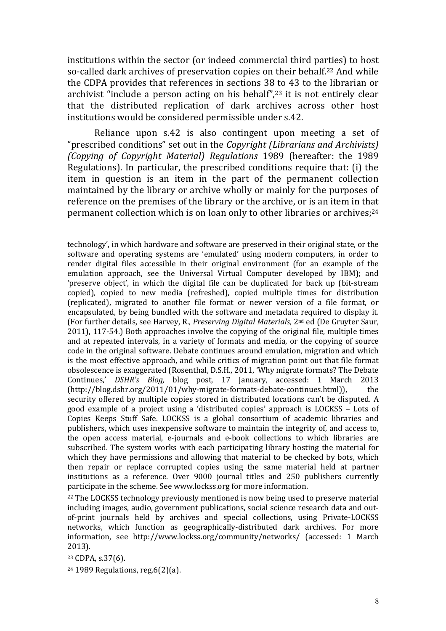institutions within the sector (or indeed commercial third parties) to host so-called dark archives of preservation copies on their behalf.<sup>22</sup> And while the CDPA provides that references in sections 38 to 43 to the librarian or archivist "include a person acting on his behalf",23 it is not entirely clear that the distributed replication of dark archives across other host institutions would be considered permissible under s.42.

Reliance upon s.42 is also contingent upon meeting a set of "prescribed conditions" set out in the Copyright (Librarians and Archivists) (Copying of Copyright Material) Regulations 1989 (hereafter: the 1989 Regulations). In particular, the prescribed conditions require that: (i) the item in question is an item in the part of the permanent collection maintained by the library or archive wholly or mainly for the purposes of reference on the premises of the library or the archive, or is an item in that permanent collection which is on loan only to other libraries or archives;<sup>24</sup>

technology', in which hardware and software are preserved in their original state, or the software and operating systems are 'emulated' using modern computers, in order to render digital files accessible in their original environment (for an example of the emulation approach, see the Universal Virtual Computer developed by IBM); and 'preserve object', in which the digital file can be duplicated for back up (bit-stream copied), copied to new media (refreshed), copied multiple times for distribution (replicated), migrated to another file format or newer version of a file format, or encapsulated, by being bundled with the software and metadata required to display it. (For further details, see Harvey, R., Preserving Digital Materials, 2nd ed (De Gruyter Saur, 2011), 117-54.) Both approaches involve the copying of the original file, multiple times and at repeated intervals, in a variety of formats and media, or the copying of source code in the original software. Debate continues around emulation, migration and which is the most effective approach, and while critics of migration point out that file format obsolescence is exaggerated (Rosenthal, D.S.H., 2011, 'Why migrate formats? The Debate Continues,' DSHR's Blog, blog post, 17 January, accessed: 1 March 2013 (http://blog.dshr.org/2011/01/why-migrate-formats-debate-continues.html)), the security offered by multiple copies stored in distributed locations can't be disputed. A good example of a project using a 'distributed copies' approach is LOCKSS – Lots of Copies Keeps Stuff Safe. LOCKSS is a global consortium of academic libraries and publishers, which uses inexpensive software to maintain the integrity of, and access to, the open access material, e-journals and e-book collections to which libraries are subscribed. The system works with each participating library hosting the material for which they have permissions and allowing that material to be checked by bots, which then repair or replace corrupted copies using the same material held at partner institutions as a reference. Over 9000 journal titles and 250 publishers currently participate in the scheme. See www.lockss.org for more information.

<sup>22</sup> The LOCKSS technology previously mentioned is now being used to preserve material including images, audio, government publications, social science research data and outof-print journals held by archives and special collections, using Private-LOCKSS networks, which function as geographically-distributed dark archives. For more information, see http://www.lockss.org/community/networks/ (accessed: 1 March 2013).

<sup>23</sup> CDPA, s.37(6).

 $\overline{a}$ 

24 1989 Regulations, reg.6(2)(a).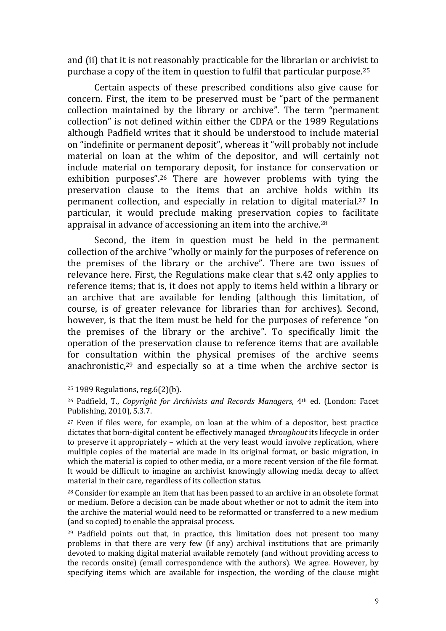and (ii) that it is not reasonably practicable for the librarian or archivist to purchase a copy of the item in question to fulfil that particular purpose.<sup>25</sup>

Certain aspects of these prescribed conditions also give cause for concern. First, the item to be preserved must be "part of the permanent collection maintained by the library or archive". The term "permanent collection" is not defined within either the CDPA or the 1989 Regulations although Padfield writes that it should be understood to include material on "indefinite or permanent deposit", whereas it "will probably not include material on loan at the whim of the depositor, and will certainly not include material on temporary deposit, for instance for conservation or exhibition purposes".26 There are however problems with tying the preservation clause to the items that an archive holds within its permanent collection, and especially in relation to digital material.27 In particular, it would preclude making preservation copies to facilitate appraisal in advance of accessioning an item into the archive.<sup>28</sup>

Second, the item in question must be held in the permanent collection of the archive "wholly or mainly for the purposes of reference on the premises of the library or the archive". There are two issues of relevance here. First, the Regulations make clear that s.42 only applies to reference items; that is, it does not apply to items held within a library or an archive that are available for lending (although this limitation, of course, is of greater relevance for libraries than for archives). Second, however, is that the item must be held for the purposes of reference "on the premises of the library or the archive". To specifically limit the operation of the preservation clause to reference items that are available for consultation within the physical premises of the archive seems anachronistic, $29$  and especially so at a time when the archive sector is

<sup>25</sup> 1989 Regulations, reg.6(2)(b).

<sup>26</sup> Padfield, T., Copyright for Archivists and Records Managers, 4th ed. (London: Facet Publishing, 2010), 5.3.7.

<sup>27</sup> Even if files were, for example, on loan at the whim of a depositor, best practice dictates that born-digital content be effectively managed throughout its lifecycle in order to preserve it appropriately – which at the very least would involve replication, where multiple copies of the material are made in its original format, or basic migration, in which the material is copied to other media, or a more recent version of the file format. It would be difficult to imagine an archivist knowingly allowing media decay to affect material in their care, regardless of its collection status.

<sup>28</sup> Consider for example an item that has been passed to an archive in an obsolete format or medium. Before a decision can be made about whether or not to admit the item into the archive the material would need to be reformatted or transferred to a new medium (and so copied) to enable the appraisal process.

<sup>29</sup> Padfield points out that, in practice, this limitation does not present too many problems in that there are very few (if any) archival institutions that are primarily devoted to making digital material available remotely (and without providing access to the records onsite) (email correspondence with the authors). We agree. However, by specifying items which are available for inspection, the wording of the clause might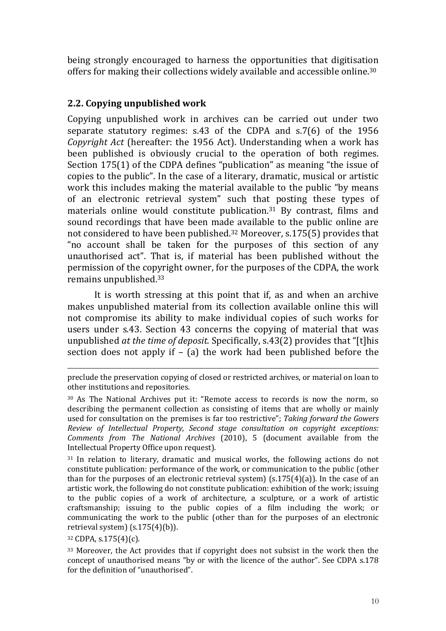being strongly encouraged to harness the opportunities that digitisation offers for making their collections widely available and accessible online.<sup>30</sup>

# 2.2. Copying unpublished work

Copying unpublished work in archives can be carried out under two separate statutory regimes: s.43 of the CDPA and s.7(6) of the 1956 Copyright Act (hereafter: the 1956 Act). Understanding when a work has been published is obviously crucial to the operation of both regimes. Section 175(1) of the CDPA defines "publication" as meaning "the issue of copies to the public". In the case of a literary, dramatic, musical or artistic work this includes making the material available to the public "by means of an electronic retrieval system" such that posting these types of materials online would constitute publication.31 By contrast, films and sound recordings that have been made available to the public online are not considered to have been published.32 Moreover, s.175(5) provides that "no account shall be taken for the purposes of this section of any unauthorised act". That is, if material has been published without the permission of the copyright owner, for the purposes of the CDPA, the work remains unpublished.<sup>33</sup>

 It is worth stressing at this point that if, as and when an archive makes unpublished material from its collection available online this will not compromise its ability to make individual copies of such works for users under s.43. Section 43 concerns the copying of material that was unpublished at the time of deposit. Specifically, s.43(2) provides that "[t]his section does not apply if – (a) the work had been published before the

<sup>31</sup> In relation to literary, dramatic and musical works, the following actions do not constitute publication: performance of the work, or communication to the public (other than for the purposes of an electronic retrieval system)  $(s.175(4)(a))$ . In the case of an artistic work, the following do not constitute publication: exhibition of the work; issuing to the public copies of a work of architecture, a sculpture, or a work of artistic craftsmanship; issuing to the public copies of a film including the work; or communicating the work to the public (other than for the purposes of an electronic retrieval system) (s.175(4)(b)).

<sup>32</sup> CDPA, s.175(4)(c).

preclude the preservation copying of closed or restricted archives, or material on loan to other institutions and repositories.

<sup>30</sup> As The National Archives put it: "Remote access to records is now the norm, so describing the permanent collection as consisting of items that are wholly or mainly used for consultation on the premises is far too restrictive"; Taking forward the Gowers Review of Intellectual Property, Second stage consultation on copyright exceptions: Comments from The National Archives (2010), 5 (document available from the Intellectual Property Office upon request).

<sup>33</sup> Moreover, the Act provides that if copyright does not subsist in the work then the concept of unauthorised means "by or with the licence of the author". See CDPA s.178 for the definition of "unauthorised".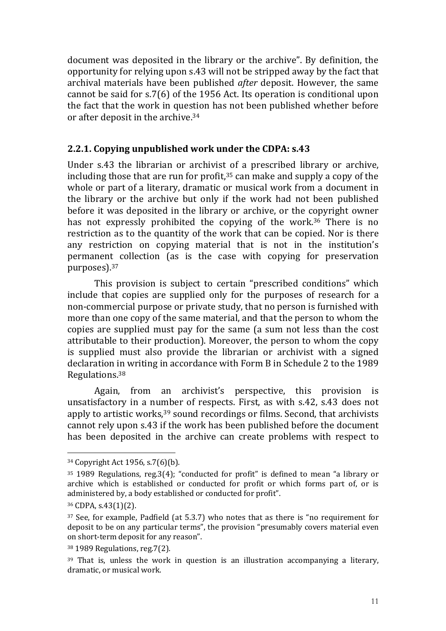document was deposited in the library or the archive". By definition, the opportunity for relying upon s.43 will not be stripped away by the fact that archival materials have been published after deposit. However, the same cannot be said for s.7(6) of the 1956 Act. Its operation is conditional upon the fact that the work in question has not been published whether before or after deposit in the archive.<sup>34</sup>

# 2.2.1. Copying unpublished work under the CDPA: s.43

Under s.43 the librarian or archivist of a prescribed library or archive, including those that are run for profit,35 can make and supply a copy of the whole or part of a literary, dramatic or musical work from a document in the library or the archive but only if the work had not been published before it was deposited in the library or archive, or the copyright owner has not expressly prohibited the copying of the work.<sup>36</sup> There is no restriction as to the quantity of the work that can be copied. Nor is there any restriction on copying material that is not in the institution's permanent collection (as is the case with copying for preservation purposes).<sup>37</sup>

This provision is subject to certain "prescribed conditions" which include that copies are supplied only for the purposes of research for a non-commercial purpose or private study, that no person is furnished with more than one copy of the same material, and that the person to whom the copies are supplied must pay for the same (a sum not less than the cost attributable to their production). Moreover, the person to whom the copy is supplied must also provide the librarian or archivist with a signed declaration in writing in accordance with Form B in Schedule 2 to the 1989 Regulations.<sup>38</sup>

Again, from an archivist's perspective, this provision is unsatisfactory in a number of respects. First, as with s.42, s.43 does not apply to artistic works,<sup>39</sup> sound recordings or films. Second, that archivists cannot rely upon s.43 if the work has been published before the document has been deposited in the archive can create problems with respect to

<sup>34</sup> Copyright Act 1956, s.7(6)(b).

<sup>35</sup> 1989 Regulations, reg.3(4); "conducted for profit" is defined to mean "a library or archive which is established or conducted for profit or which forms part of, or is administered by, a body established or conducted for profit".

<sup>36</sup> CDPA, s.43(1)(2).

<sup>37</sup> See, for example, Padfield (at 5.3.7) who notes that as there is "no requirement for deposit to be on any particular terms", the provision "presumably covers material even on short-term deposit for any reason".

<sup>38</sup> 1989 Regulations, reg.7(2).

 $39$  That is, unless the work in question is an illustration accompanying a literary, dramatic, or musical work.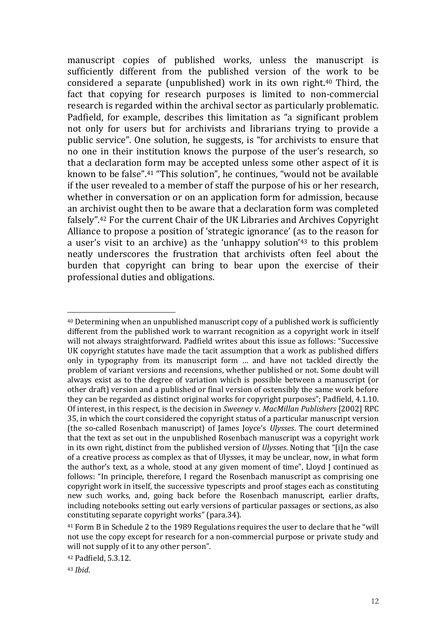manuscript copies of published works, unless the manuscript is sufficiently different from the published version of the work to be considered a separate (unpublished) work in its own right.40 Third, the fact that copying for research purposes is limited to non-commercial research is regarded within the archival sector as particularly problematic. Padfield, for example, describes this limitation as "a significant problem not only for users but for archivists and librarians trying to provide a public service". One solution, he suggests, is "for archivists to ensure that no one in their institution knows the purpose of the user's research, so that a declaration form may be accepted unless some other aspect of it is known to be false".41 "This solution", he continues, "would not be available if the user revealed to a member of staff the purpose of his or her research, whether in conversation or on an application form for admission, because an archivist ought then to be aware that a declaration form was completed falsely".42 For the current Chair of the UK Libraries and Archives Copyright Alliance to propose a position of 'strategic ignorance' (as to the reason for a user's visit to an archive) as the 'unhappy solution'43 to this problem neatly underscores the frustration that archivists often feel about the burden that copyright can bring to bear upon the exercise of their professional duties and obligations.

<sup>40</sup> Determining when an unpublished manuscript copy of a published work is sufficiently different from the published work to warrant recognition as a copyright work in itself will not always straightforward. Padfield writes about this issue as follows: "Successive UK copyright statutes have made the tacit assumption that a work as published differs only in typography from its manuscript form … and have not tackled directly the problem of variant versions and recensions, whether published or not. Some doubt will always exist as to the degree of variation which is possible between a manuscript (or other draft) version and a published or final version of ostensibly the same work before they can be regarded as distinct original works for copyright purposes"; Padfield, 4.1.10. Of interest, in this respect, is the decision in Sweeney v. MacMillan Publishers [2002] RPC 35, in which the court considered the copyright status of a particular manuscript version (the so-called Rosenbach manuscript) of James Joyce's Ulysses. The court determined that the text as set out in the unpublished Rosenbach manuscript was a copyright work in its own right, distinct from the published version of Ulysses. Noting that "[i]n the case of a creative process as complex as that of Ulysses, it may be unclear, now, in what form the author's text, as a whole, stood at any given moment of time", Lloyd J continued as follows: "In principle, therefore, I regard the Rosenbach manuscript as comprising one copyright work in itself, the successive typescripts and proof stages each as constituting new such works, and, going back before the Rosenbach manuscript, earlier drafts, including notebooks setting out early versions of particular passages or sections, as also constituting separate copyright works" (para.34).

<sup>41</sup> Form B in Schedule 2 to the 1989 Regulations requires the user to declare that he "will not use the copy except for research for a non-commercial purpose or private study and will not supply of it to any other person".

<sup>42</sup> Padfield, 5.3.12.

<sup>43</sup> Ibid.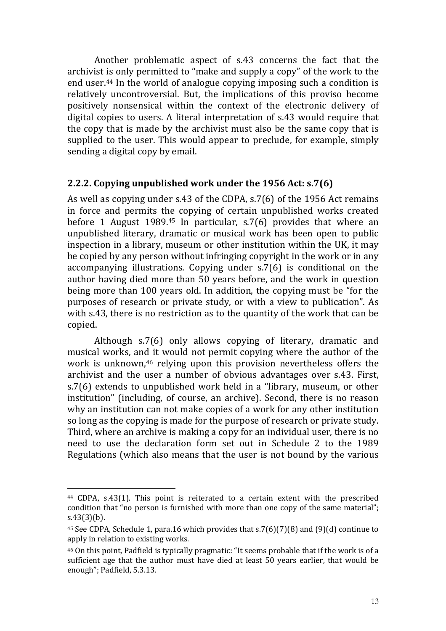Another problematic aspect of s.43 concerns the fact that the archivist is only permitted to "make and supply a copy" of the work to the end user.44 In the world of analogue copying imposing such a condition is relatively uncontroversial. But, the implications of this proviso become positively nonsensical within the context of the electronic delivery of digital copies to users. A literal interpretation of s.43 would require that the copy that is made by the archivist must also be the same copy that is supplied to the user. This would appear to preclude, for example, simply sending a digital copy by email.

#### 2.2.2. Copying unpublished work under the 1956 Act: s.7(6)

As well as copying under s.43 of the CDPA, s.7(6) of the 1956 Act remains in force and permits the copying of certain unpublished works created before 1 August 1989.45 In particular, s.7(6) provides that where an unpublished literary, dramatic or musical work has been open to public inspection in a library, museum or other institution within the UK, it may be copied by any person without infringing copyright in the work or in any accompanying illustrations. Copying under s.7(6) is conditional on the author having died more than 50 years before, and the work in question being more than 100 years old. In addition, the copying must be "for the purposes of research or private study, or with a view to publication". As with s.43, there is no restriction as to the quantity of the work that can be copied.

Although s.7(6) only allows copying of literary, dramatic and musical works, and it would not permit copying where the author of the work is unknown,<sup>46</sup> relying upon this provision nevertheless offers the archivist and the user a number of obvious advantages over s.43. First, s.7(6) extends to unpublished work held in a "library, museum, or other institution" (including, of course, an archive). Second, there is no reason why an institution can not make copies of a work for any other institution so long as the copying is made for the purpose of research or private study. Third, where an archive is making a copy for an individual user, there is no need to use the declaration form set out in Schedule 2 to the 1989 Regulations (which also means that the user is not bound by the various

<sup>44</sup> CDPA, s.43(1). This point is reiterated to a certain extent with the prescribed condition that "no person is furnished with more than one copy of the same material"; s.43(3)(b).

<sup>45</sup> See CDPA, Schedule 1, para.16 which provides that s.7(6)(7)(8) and (9)(d) continue to apply in relation to existing works.

<sup>46</sup> On this point, Padfield is typically pragmatic: "It seems probable that if the work is of a sufficient age that the author must have died at least 50 years earlier, that would be enough"; Padfield, 5.3.13.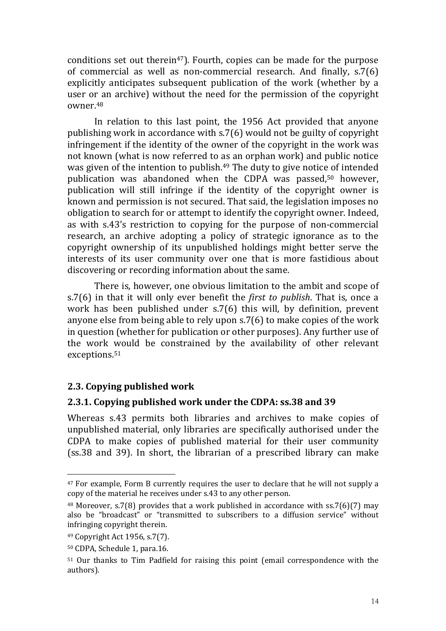conditions set out therein<sup>47</sup>). Fourth, copies can be made for the purpose of commercial as well as non-commercial research. And finally, s.7(6) explicitly anticipates subsequent publication of the work (whether by a user or an archive) without the need for the permission of the copyright owner.<sup>48</sup>

In relation to this last point, the 1956 Act provided that anyone publishing work in accordance with s.7(6) would not be guilty of copyright infringement if the identity of the owner of the copyright in the work was not known (what is now referred to as an orphan work) and public notice was given of the intention to publish.<sup>49</sup> The duty to give notice of intended publication was abandoned when the CDPA was passed,50 however, publication will still infringe if the identity of the copyright owner is known and permission is not secured. That said, the legislation imposes no obligation to search for or attempt to identify the copyright owner. Indeed, as with s.43's restriction to copying for the purpose of non-commercial research, an archive adopting a policy of strategic ignorance as to the copyright ownership of its unpublished holdings might better serve the interests of its user community over one that is more fastidious about discovering or recording information about the same.

There is, however, one obvious limitation to the ambit and scope of s.7(6) in that it will only ever benefit the *first to publish*. That is, once a work has been published under s.7(6) this will, by definition, prevent anyone else from being able to rely upon s.7(6) to make copies of the work in question (whether for publication or other purposes). Any further use of the work would be constrained by the availability of other relevant exceptions.<sup>51</sup>

#### 2.3. Copying published work

#### 2.3.1. Copying published work under the CDPA: ss.38 and 39

Whereas s.43 permits both libraries and archives to make copies of unpublished material, only libraries are specifically authorised under the CDPA to make copies of published material for their user community (ss.38 and 39). In short, the librarian of a prescribed library can make

<sup>47</sup> For example, Form B currently requires the user to declare that he will not supply a copy of the material he receives under s.43 to any other person.

<sup>&</sup>lt;sup>48</sup> Moreover, s.7(8) provides that a work published in accordance with ss.7(6)(7) may also be "broadcast" or "transmitted to subscribers to a diffusion service" without infringing copyright therein.

<sup>49</sup> Copyright Act 1956, s.7(7).

<sup>50</sup> CDPA, Schedule 1, para.16.

<sup>51</sup> Our thanks to Tim Padfield for raising this point (email correspondence with the authors).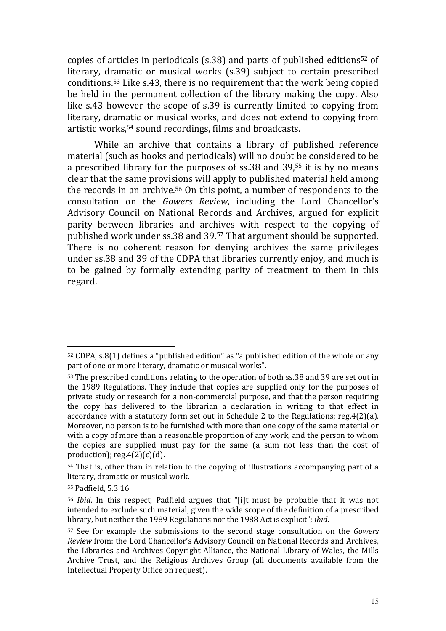copies of articles in periodicals (s.38) and parts of published editions52 of literary, dramatic or musical works (s.39) subject to certain prescribed conditions.53 Like s.43, there is no requirement that the work being copied be held in the permanent collection of the library making the copy. Also like s.43 however the scope of s.39 is currently limited to copying from literary, dramatic or musical works, and does not extend to copying from artistic works,54 sound recordings, films and broadcasts.

While an archive that contains a library of published reference material (such as books and periodicals) will no doubt be considered to be a prescribed library for the purposes of ss.38 and 39,55 it is by no means clear that the same provisions will apply to published material held among the records in an archive.56 On this point, a number of respondents to the consultation on the Gowers Review, including the Lord Chancellor's Advisory Council on National Records and Archives, argued for explicit parity between libraries and archives with respect to the copying of published work under ss.38 and 39.57 That argument should be supported. There is no coherent reason for denying archives the same privileges under ss.38 and 39 of the CDPA that libraries currently enjoy, and much is to be gained by formally extending parity of treatment to them in this regard.

 $\overline{a}$ <sup>52</sup> CDPA, s.8(1) defines a "published edition" as "a published edition of the whole or any part of one or more literary, dramatic or musical works".

<sup>53</sup> The prescribed conditions relating to the operation of both ss.38 and 39 are set out in the 1989 Regulations. They include that copies are supplied only for the purposes of private study or research for a non-commercial purpose, and that the person requiring the copy has delivered to the librarian a declaration in writing to that effect in accordance with a statutory form set out in Schedule 2 to the Regulations; reg.4(2)(a). Moreover, no person is to be furnished with more than one copy of the same material or with a copy of more than a reasonable proportion of any work, and the person to whom the copies are supplied must pay for the same (a sum not less than the cost of production);  $reg.4(2)(c)(d)$ .

<sup>54</sup> That is, other than in relation to the copying of illustrations accompanying part of a literary, dramatic or musical work.

<sup>55</sup> Padfield, 5.3.16.

<sup>56</sup> Ibid. In this respect, Padfield argues that "[i]t must be probable that it was not intended to exclude such material, given the wide scope of the definition of a prescribed library, but neither the 1989 Regulations nor the 1988 Act is explicit"; ibid.

<sup>57</sup> See for example the submissions to the second stage consultation on the Gowers Review from: the Lord Chancellor's Advisory Council on National Records and Archives, the Libraries and Archives Copyright Alliance, the National Library of Wales, the Mills Archive Trust, and the Religious Archives Group (all documents available from the Intellectual Property Office on request).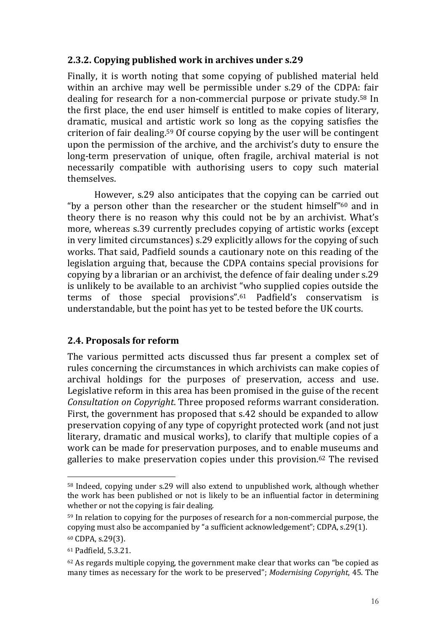# 2.3.2. Copying published work in archives under s.29

Finally, it is worth noting that some copying of published material held within an archive may well be permissible under s.29 of the CDPA: fair dealing for research for a non-commercial purpose or private study.58 In the first place, the end user himself is entitled to make copies of literary, dramatic, musical and artistic work so long as the copying satisfies the criterion of fair dealing.59 Of course copying by the user will be contingent upon the permission of the archive, and the archivist's duty to ensure the long-term preservation of unique, often fragile, archival material is not necessarily compatible with authorising users to copy such material themselves.

However, s.29 also anticipates that the copying can be carried out "by a person other than the researcher or the student himself"60 and in theory there is no reason why this could not be by an archivist. What's more, whereas s.39 currently precludes copying of artistic works (except in very limited circumstances) s.29 explicitly allows for the copying of such works. That said, Padfield sounds a cautionary note on this reading of the legislation arguing that, because the CDPA contains special provisions for copying by a librarian or an archivist, the defence of fair dealing under s.29 is unlikely to be available to an archivist "who supplied copies outside the terms of those special provisions".61 Padfield's conservatism is understandable, but the point has yet to be tested before the UK courts.

# 2.4. Proposals for reform

The various permitted acts discussed thus far present a complex set of rules concerning the circumstances in which archivists can make copies of archival holdings for the purposes of preservation, access and use. Legislative reform in this area has been promised in the guise of the recent Consultation on Copyright. Three proposed reforms warrant consideration. First, the government has proposed that s.42 should be expanded to allow preservation copying of any type of copyright protected work (and not just literary, dramatic and musical works), to clarify that multiple copies of a work can be made for preservation purposes, and to enable museums and galleries to make preservation copies under this provision.62 The revised

<sup>58</sup> Indeed, copying under s.29 will also extend to unpublished work, although whether the work has been published or not is likely to be an influential factor in determining whether or not the copying is fair dealing.

<sup>59</sup> In relation to copying for the purposes of research for a non-commercial purpose, the copying must also be accompanied by "a sufficient acknowledgement"; CDPA, s.29(1). <sup>60</sup> CDPA, s.29(3).

<sup>61</sup> Padfield, 5.3.21.

 $62$  As regards multiple copying, the government make clear that works can "be copied as many times as necessary for the work to be preserved"; Modernising Copyright, 45. The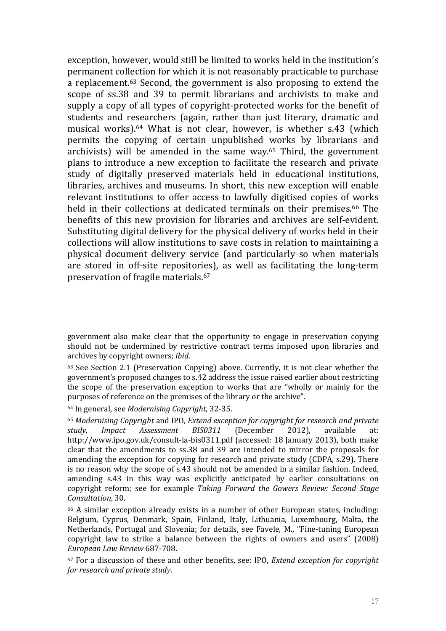exception, however, would still be limited to works held in the institution's permanent collection for which it is not reasonably practicable to purchase a replacement.63 Second, the government is also proposing to extend the scope of ss.38 and 39 to permit librarians and archivists to make and supply a copy of all types of copyright-protected works for the benefit of students and researchers (again, rather than just literary, dramatic and musical works).64 What is not clear, however, is whether s.43 (which permits the copying of certain unpublished works by librarians and archivists) will be amended in the same way.65 Third, the government plans to introduce a new exception to facilitate the research and private study of digitally preserved materials held in educational institutions, libraries, archives and museums. In short, this new exception will enable relevant institutions to offer access to lawfully digitised copies of works held in their collections at dedicated terminals on their premises.<sup>66</sup> The benefits of this new provision for libraries and archives are self-evident. Substituting digital delivery for the physical delivery of works held in their collections will allow institutions to save costs in relation to maintaining a physical document delivery service (and particularly so when materials are stored in off-site repositories), as well as facilitating the long-term preservation of fragile materials.<sup>67</sup>

government also make clear that the opportunity to engage in preservation copying should not be undermined by restrictive contract terms imposed upon libraries and archives by copyright owners; ibid.

<sup>63</sup> See Section 2.1 (Preservation Copying) above. Currently, it is not clear whether the government's proposed changes to s.42 address the issue raised earlier about restricting the scope of the preservation exception to works that are "wholly or mainly for the purposes of reference on the premises of the library or the archive".

<sup>64</sup> In general, see Modernising Copyright, 32-35.

<sup>65</sup> Modernising Copyright and IPO, Extend exception for copyright for research and private study, Impact Assessment BIS0311 (December 2012), available at: http://www.ipo.gov.uk/consult-ia-bis0311.pdf (accessed: 18 January 2013), both make clear that the amendments to ss.38 and 39 are intended to mirror the proposals for amending the exception for copying for research and private study (CDPA, s.29). There is no reason why the scope of s.43 should not be amended in a similar fashion. Indeed, amending s.43 in this way was explicitly anticipated by earlier consultations on copyright reform; see for example Taking Forward the Gowers Review: Second Stage Consultation, 30.

<sup>66</sup> A similar exception already exists in a number of other European states, including: Belgium, Cyprus, Denmark, Spain, Finland, Italy, Lithuania, Luxembourg, Malta, the Netherlands, Portugal and Slovenia; for details, see Favele, M., "Fine-tuning European copyright law to strike a balance between the rights of owners and users" (2008) European Law Review 687-708.

 $67$  For a discussion of these and other benefits, see: IPO, *Extend exception for copyright* for research and private study.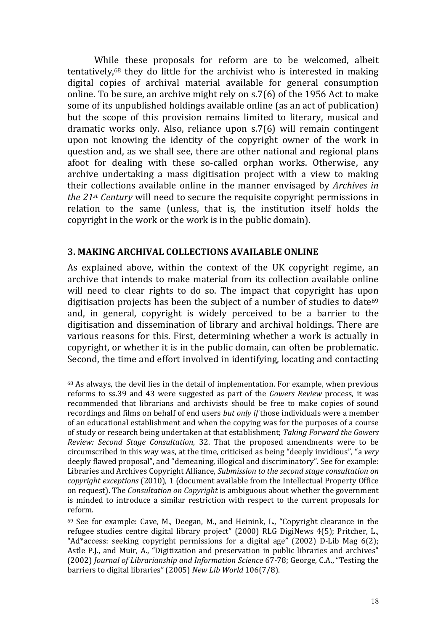While these proposals for reform are to be welcomed, albeit tentatively,68 they do little for the archivist who is interested in making digital copies of archival material available for general consumption online. To be sure, an archive might rely on s.7(6) of the 1956 Act to make some of its unpublished holdings available online (as an act of publication) but the scope of this provision remains limited to literary, musical and dramatic works only. Also, reliance upon s.7(6) will remain contingent upon not knowing the identity of the copyright owner of the work in question and, as we shall see, there are other national and regional plans afoot for dealing with these so-called orphan works. Otherwise, any archive undertaking a mass digitisation project with a view to making their collections available online in the manner envisaged by Archives in the 21st Century will need to secure the requisite copyright permissions in relation to the same (unless, that is, the institution itself holds the copyright in the work or the work is in the public domain).

#### 3. MAKING ARCHIVAL COLLECTIONS AVAILABLE ONLINE

 $\overline{a}$ 

As explained above, within the context of the UK copyright regime, an archive that intends to make material from its collection available online will need to clear rights to do so. The impact that copyright has upon digitisation projects has been the subject of a number of studies to date<sup>69</sup> and, in general, copyright is widely perceived to be a barrier to the digitisation and dissemination of library and archival holdings. There are various reasons for this. First, determining whether a work is actually in copyright, or whether it is in the public domain, can often be problematic. Second, the time and effort involved in identifying, locating and contacting

<sup>68</sup> As always, the devil lies in the detail of implementation. For example, when previous reforms to ss.39 and 43 were suggested as part of the Gowers Review process, it was recommended that librarians and archivists should be free to make copies of sound recordings and films on behalf of end users but only if those individuals were a member of an educational establishment and when the copying was for the purposes of a course of study or research being undertaken at that establishment; Taking Forward the Gowers Review: Second Stage Consultation, 32. That the proposed amendments were to be circumscribed in this way was, at the time, criticised as being "deeply invidious", "a very deeply flawed proposal", and "demeaning, illogical and discriminatory". See for example: Libraries and Archives Copyright Alliance, Submission to the second stage consultation on copyright exceptions (2010), 1 (document available from the Intellectual Property Office on request). The Consultation on Copyright is ambiguous about whether the government is minded to introduce a similar restriction with respect to the current proposals for reform.

<sup>69</sup> See for example: Cave, M., Deegan, M., and Heinink, L., "Copyright clearance in the refugee studies centre digital library project" (2000) RLG DigiNews 4(5); Pritcher, L., "Ad\*access: seeking copyright permissions for a digital age" (2002) D-Lib Mag 6(2); Astle P.J., and Muir, A., "Digitization and preservation in public libraries and archives" (2002) Journal of Librarianship and Information Science 67-78; George, C.A., "Testing the barriers to digital libraries" (2005) New Lib World 106(7/8).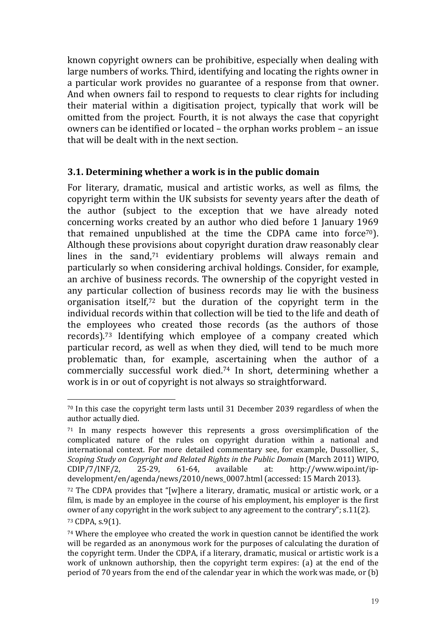known copyright owners can be prohibitive, especially when dealing with large numbers of works. Third, identifying and locating the rights owner in a particular work provides no guarantee of a response from that owner. And when owners fail to respond to requests to clear rights for including their material within a digitisation project, typically that work will be omitted from the project. Fourth, it is not always the case that copyright owners can be identified or located – the orphan works problem – an issue that will be dealt with in the next section.

#### 3.1. Determining whether a work is in the public domain

For literary, dramatic, musical and artistic works, as well as films, the copyright term within the UK subsists for seventy years after the death of the author (subject to the exception that we have already noted concerning works created by an author who died before 1 January 1969 that remained unpublished at the time the CDPA came into force<sup>70</sup>). Although these provisions about copyright duration draw reasonably clear lines in the sand,71 evidentiary problems will always remain and particularly so when considering archival holdings. Consider, for example, an archive of business records. The ownership of the copyright vested in any particular collection of business records may lie with the business organisation itself,72 but the duration of the copyright term in the individual records within that collection will be tied to the life and death of the employees who created those records (as the authors of those records).73 Identifying which employee of a company created which particular record, as well as when they died, will tend to be much more problematic than, for example, ascertaining when the author of a commercially successful work died.74 In short, determining whether a work is in or out of copyright is not always so straightforward.

 $\overline{a}$ <sup>70</sup> In this case the copyright term lasts until 31 December 2039 regardless of when the author actually died.

 $71$  In many respects however this represents a gross oversimplification of the complicated nature of the rules on copyright duration within a national and international context. For more detailed commentary see, for example, Dussollier, S., Scoping Study on Copyright and Related Rights in the Public Domain (March 2011) WIPO,  $CDIP/7/INF/2$ , 25-29, 61-64, available at: http://www.wipo.int/ipdevelopment/en/agenda/news/2010/news\_0007.html (accessed: 15 March 2013).

<sup>72</sup> The CDPA provides that "[w]here a literary, dramatic, musical or artistic work, or a film, is made by an employee in the course of his employment, his employer is the first owner of any copyright in the work subject to any agreement to the contrary"; s.11(2).

<sup>73</sup> CDPA, s.9(1).

<sup>74</sup> Where the employee who created the work in question cannot be identified the work will be regarded as an anonymous work for the purposes of calculating the duration of the copyright term. Under the CDPA, if a literary, dramatic, musical or artistic work is a work of unknown authorship, then the copyright term expires: (a) at the end of the period of 70 years from the end of the calendar year in which the work was made, or (b)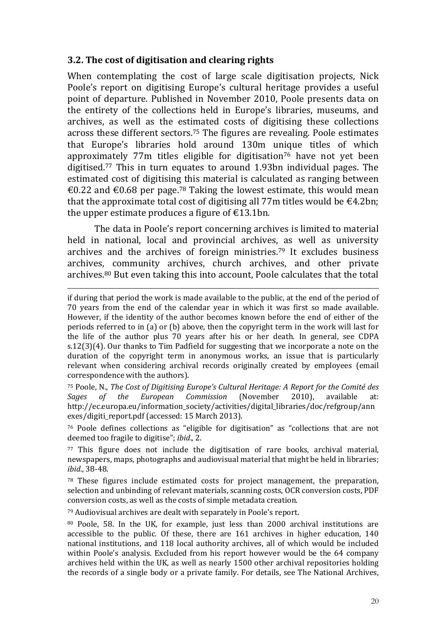## 3.2. The cost of digitisation and clearing rights

 $\overline{a}$ 

When contemplating the cost of large scale digitisation projects, Nick Poole's report on digitising Europe's cultural heritage provides a useful point of departure. Published in November 2010, Poole presents data on the entirety of the collections held in Europe's libraries, museums, and archives, as well as the estimated costs of digitising these collections across these different sectors.75 The figures are revealing. Poole estimates that Europe's libraries hold around 130m unique titles of which approximately 77 $m$  titles eligible for digitisation<sup>76</sup> have not yet been digitised.77 This in turn equates to around 1.93bn individual pages. The estimated cost of digitising this material is calculated as ranging between €0.22 and €0.68 per page.<sup>78</sup> Taking the lowest estimate, this would mean that the approximate total cost of digitising all 77m titles would be  $\epsilon$ 4.2bn; the upper estimate produces a figure of  $\epsilon$ 13.1bn.

The data in Poole's report concerning archives is limited to material held in national, local and provincial archives, as well as university archives and the archives of foreign ministries.79 It excludes business archives, community archives, church archives, and other private archives.80 But even taking this into account, Poole calculates that the total

<sup>75</sup> Poole, N., The Cost of Digitising Europe's Cultural Heritage: A Report for the Comité des Sages of the European Commission (November 2010), available at: http://ec.europa.eu/information\_society/activities/digital\_libraries/doc/refgroup/ann exes/digiti\_report.pdf (accessed: 15 March 2013).

<sup>76</sup> Poole defines collections as "eligible for digitisation" as "collections that are not deemed too fragile to digitise"; ibid., 2.

<sup>77</sup> This figure does not include the digitisation of rare books, archival material, newspapers, maps, photographs and audiovisual material that might be held in libraries; ibid., 38-48.

<sup>78</sup> These figures include estimated costs for project management, the preparation, selection and unbinding of relevant materials, scanning costs, OCR conversion costs, PDF conversion costs, as well as the costs of simple metadata creation.

<sup>79</sup> Audiovisual archives are dealt with separately in Poole's report.

<sup>80</sup> Poole, 58. In the UK, for example, just less than 2000 archival institutions are accessible to the public. Of these, there are 161 archives in higher education, 140 national institutions, and 118 local authority archives, all of which would be included within Poole's analysis. Excluded from his report however would be the 64 company archives held within the UK, as well as nearly 1500 other archival repositories holding the records of a single body or a private family. For details, see The National Archives,

if during that period the work is made available to the public, at the end of the period of 70 years from the end of the calendar year in which it was first so made available. However, if the identity of the author becomes known before the end of either of the periods referred to in (a) or (b) above, then the copyright term in the work will last for the life of the author plus 70 years after his or her death. In general, see CDPA s.12(3)(4). Our thanks to Tim Padfield for suggesting that we incorporate a note on the duration of the copyright term in anonymous works, an issue that is particularly relevant when considering archival records originally created by employees (email correspondence with the authors).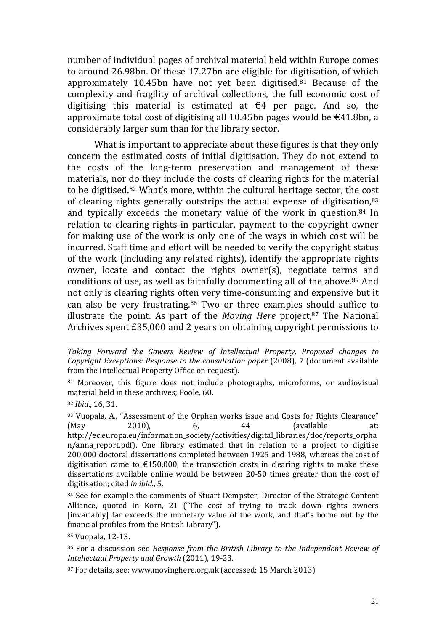number of individual pages of archival material held within Europe comes to around 26.98bn. Of these 17.27bn are eligible for digitisation, of which approximately 10.45bn have not yet been digitised.81 Because of the complexity and fragility of archival collections, the full economic cost of digitising this material is estimated at  $\epsilon$ 4 per page. And so, the approximate total cost of digitising all 10.45bn pages would be  $\epsilon$ 41.8bn, a considerably larger sum than for the library sector.

What is important to appreciate about these figures is that they only concern the estimated costs of initial digitisation. They do not extend to the costs of the long-term preservation and management of these materials, nor do they include the costs of clearing rights for the material to be digitised.82 What's more, within the cultural heritage sector, the cost of clearing rights generally outstrips the actual expense of digitisation,<sup>83</sup> and typically exceeds the monetary value of the work in question.84 In relation to clearing rights in particular, payment to the copyright owner for making use of the work is only one of the ways in which cost will be incurred. Staff time and effort will be needed to verify the copyright status of the work (including any related rights), identify the appropriate rights owner, locate and contact the rights owner(s), negotiate terms and conditions of use, as well as faithfully documenting all of the above.85 And not only is clearing rights often very time-consuming and expensive but it can also be very frustrating.86 Two or three examples should suffice to illustrate the point. As part of the *Moving Here* project, $87$  The National Archives spent £35,000 and 2 years on obtaining copyright permissions to

Taking Forward the Gowers Review of Intellectual Property, Proposed changes to Copyright Exceptions: Response to the consultation paper (2008), 7 (document available from the Intellectual Property Office on request).

81 Moreover, this figure does not include photographs, microforms, or audiovisual material held in these archives; Poole, 60.

<sup>82</sup> Ibid., 16, 31.

 $\overline{a}$ 

83 Vuopala, A., "Assessment of the Orphan works issue and Costs for Rights Clearance" (May 2010), 6, 44 (available at: http://ec.europa.eu/information\_society/activities/digital\_libraries/doc/reports\_orpha n/anna\_report.pdf). One library estimated that in relation to a project to digitise 200,000 doctoral dissertations completed between 1925 and 1988, whereas the cost of digitisation came to  $\epsilon$ 150,000, the transaction costs in clearing rights to make these dissertations available online would be between 20-50 times greater than the cost of digitisation; cited in ibid., 5.

84 See for example the comments of Stuart Dempster, Director of the Strategic Content Alliance, quoted in Korn, 21 ("The cost of trying to track down rights owners [invariably] far exceeds the monetary value of the work, and that's borne out by the financial profiles from the British Library").

<sup>85</sup> Vuopala, 12-13.

<sup>86</sup> For a discussion see Response from the British Library to the Independent Review of Intellectual Property and Growth (2011), 19-23.

87 For details, see: www.movinghere.org.uk (accessed: 15 March 2013).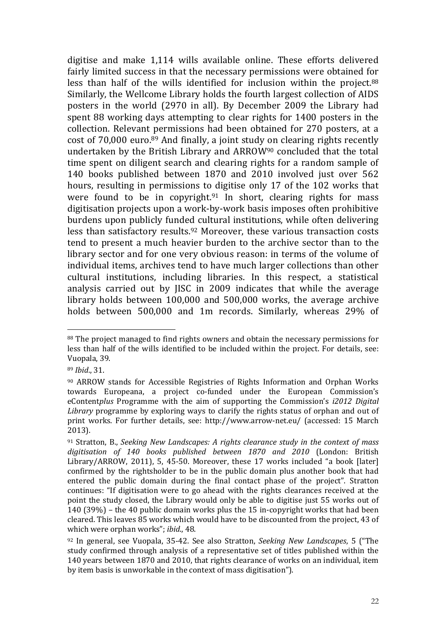digitise and make 1,114 wills available online. These efforts delivered fairly limited success in that the necessary permissions were obtained for less than half of the wills identified for inclusion within the project.<sup>88</sup> Similarly, the Wellcome Library holds the fourth largest collection of AIDS posters in the world (2970 in all). By December 2009 the Library had spent 88 working days attempting to clear rights for 1400 posters in the collection. Relevant permissions had been obtained for 270 posters, at a cost of 70,000 euro.89 And finally, a joint study on clearing rights recently undertaken by the British Library and ARROW90 concluded that the total time spent on diligent search and clearing rights for a random sample of 140 books published between 1870 and 2010 involved just over 562 hours, resulting in permissions to digitise only 17 of the 102 works that were found to be in copyright.<sup>91</sup> In short, clearing rights for mass digitisation projects upon a work-by-work basis imposes often prohibitive burdens upon publicly funded cultural institutions, while often delivering less than satisfactory results.92 Moreover, these various transaction costs tend to present a much heavier burden to the archive sector than to the library sector and for one very obvious reason: in terms of the volume of individual items, archives tend to have much larger collections than other cultural institutions, including libraries. In this respect, a statistical analysis carried out by JISC in 2009 indicates that while the average library holds between 100,000 and 500,000 works, the average archive holds between 500,000 and 1m records. Similarly, whereas 29% of

<sup>88</sup> The project managed to find rights owners and obtain the necessary permissions for less than half of the wills identified to be included within the project. For details, see: Vuopala, 39.

<sup>89</sup> Ibid., 31.

<sup>90</sup> ARROW stands for Accessible Registries of Rights Information and Orphan Works towards Europeana, a project co-funded under the European Commission's eContentplus Programme with the aim of supporting the Commission's i2012 Digital Library programme by exploring ways to clarify the rights status of orphan and out of print works. For further details, see: http://www.arrow-net.eu/ (accessed: 15 March 2013).

 $91$  Stratton, B., Seeking New Landscapes: A rights clearance study in the context of mass digitisation of 140 books published between 1870 and 2010 (London: British Library/ARROW, 2011), 5, 45-50. Moreover, these 17 works included "a book [later] confirmed by the rightsholder to be in the public domain plus another book that had entered the public domain during the final contact phase of the project". Stratton continues: "If digitisation were to go ahead with the rights clearances received at the point the study closed, the Library would only be able to digitise just 55 works out of 140 (39%) – the 40 public domain works plus the 15 in-copyright works that had been cleared. This leaves 85 works which would have to be discounted from the project, 43 of which were orphan works"; ibid., 48.

<sup>92</sup> In general, see Vuopala, 35-42. See also Stratton, Seeking New Landscapes, 5 ("The study confirmed through analysis of a representative set of titles published within the 140 years between 1870 and 2010, that rights clearance of works on an individual, item by item basis is unworkable in the context of mass digitisation").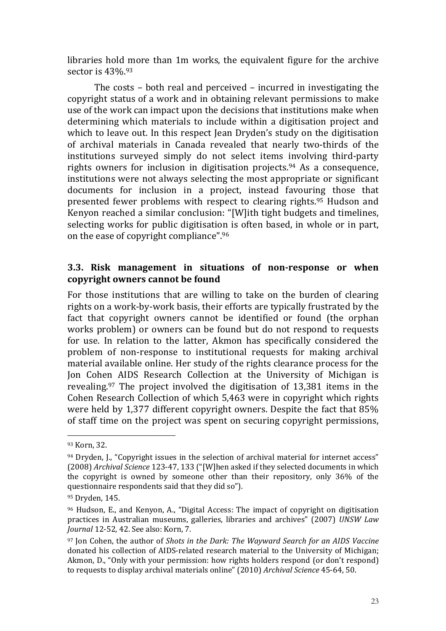libraries hold more than 1m works, the equivalent figure for the archive sector is 43%.<sup>93</sup>

The costs – both real and perceived – incurred in investigating the copyright status of a work and in obtaining relevant permissions to make use of the work can impact upon the decisions that institutions make when determining which materials to include within a digitisation project and which to leave out. In this respect Jean Dryden's study on the digitisation of archival materials in Canada revealed that nearly two-thirds of the institutions surveyed simply do not select items involving third-party rights owners for inclusion in digitisation projects.94 As a consequence, institutions were not always selecting the most appropriate or significant documents for inclusion in a project, instead favouring those that presented fewer problems with respect to clearing rights.95 Hudson and Kenyon reached a similar conclusion: "[W]ith tight budgets and timelines, selecting works for public digitisation is often based, in whole or in part, on the ease of copyright compliance".<sup>96</sup>

#### 3.3. Risk management in situations of non-response or when copyright owners cannot be found

For those institutions that are willing to take on the burden of clearing rights on a work-by-work basis, their efforts are typically frustrated by the fact that copyright owners cannot be identified or found (the orphan works problem) or owners can be found but do not respond to requests for use. In relation to the latter, Akmon has specifically considered the problem of non-response to institutional requests for making archival material available online. Her study of the rights clearance process for the Jon Cohen AIDS Research Collection at the University of Michigan is revealing.97 The project involved the digitisation of 13,381 items in the Cohen Research Collection of which 5,463 were in copyright which rights were held by 1,377 different copyright owners. Despite the fact that 85% of staff time on the project was spent on securing copyright permissions,

<sup>93</sup> Korn, 32.

<sup>94</sup> Dryden, J., "Copyright issues in the selection of archival material for internet access" (2008) Archival Science 123-47, 133 ("[W]hen asked if they selected documents in which the copyright is owned by someone other than their repository, only 36% of the questionnaire respondents said that they did so").

<sup>95</sup> Dryden, 145.

<sup>96</sup> Hudson, E., and Kenyon, A., "Digital Access: The impact of copyright on digitisation practices in Australian museums, galleries, libraries and archives" (2007) UNSW Law Journal 12-52, 42. See also: Korn, 7.

<sup>&</sup>lt;sup>97</sup> Jon Cohen, the author of Shots in the Dark: The Wayward Search for an AIDS Vaccine donated his collection of AIDS-related research material to the University of Michigan; Akmon, D., "Only with your permission: how rights holders respond (or don't respond) to requests to display archival materials online" (2010) Archival Science 45-64, 50.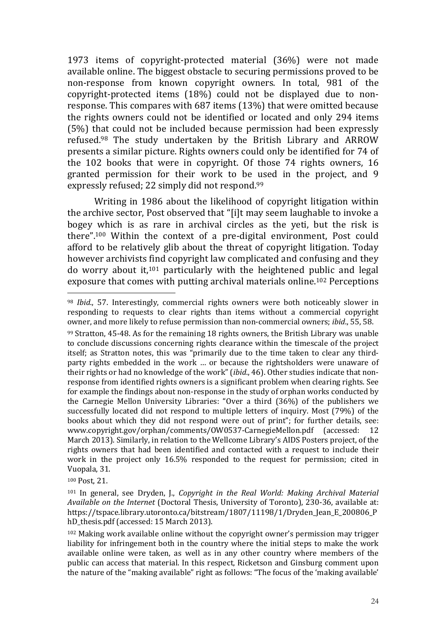1973 items of copyright-protected material (36%) were not made available online. The biggest obstacle to securing permissions proved to be non-response from known copyright owners. In total, 981 of the copyright-protected items (18%) could not be displayed due to nonresponse. This compares with 687 items (13%) that were omitted because the rights owners could not be identified or located and only 294 items (5%) that could not be included because permission had been expressly refused.98 The study undertaken by the British Library and ARROW presents a similar picture. Rights owners could only be identified for 74 of the 102 books that were in copyright. Of those 74 rights owners, 16 granted permission for their work to be used in the project, and 9 expressly refused; 22 simply did not respond.<sup>99</sup>

 Writing in 1986 about the likelihood of copyright litigation within the archive sector, Post observed that "[i]t may seem laughable to invoke a bogey which is as rare in archival circles as the yeti, but the risk is there".100 Within the context of a pre-digital environment, Post could afford to be relatively glib about the threat of copyright litigation. Today however archivists find copyright law complicated and confusing and they do worry about it,101 particularly with the heightened public and legal exposure that comes with putting archival materials online.102 Perceptions

<sup>100</sup> Post, 21.

<sup>98</sup> Ibid., 57. Interestingly, commercial rights owners were both noticeably slower in responding to requests to clear rights than items without a commercial copyright owner, and more likely to refuse permission than non-commercial owners; ibid., 55, 58.

<sup>99</sup> Stratton, 45-48. As for the remaining 18 rights owners, the British Library was unable to conclude discussions concerning rights clearance within the timescale of the project itself; as Stratton notes, this was "primarily due to the time taken to clear any thirdparty rights embedded in the work … or because the rightsholders were unaware of their rights or had no knowledge of the work" (ibid., 46). Other studies indicate that nonresponse from identified rights owners is a significant problem when clearing rights. See for example the findings about non-response in the study of orphan works conducted by the Carnegie Mellon University Libraries: "Over a third (36%) of the publishers we successfully located did not respond to multiple letters of inquiry. Most (79%) of the books about which they did not respond were out of print"; for further details, see: www.copyright.gov/orphan/comments/OW0537-CarnegieMellon.pdf (accessed: 12 March 2013). Similarly, in relation to the Wellcome Library's AIDS Posters project, of the rights owners that had been identified and contacted with a request to include their work in the project only 16.5% responded to the request for permission; cited in Vuopala, 31.

<sup>101</sup> In general, see Dryden, J., Copyright in the Real World: Making Archival Material Available on the Internet (Doctoral Thesis, University of Toronto), 230-36, available at: https://tspace.library.utoronto.ca/bitstream/1807/11198/1/Dryden\_Jean\_E\_200806\_P hD\_thesis.pdf (accessed: 15 March 2013).

<sup>102</sup> Making work available online without the copyright owner's permission may trigger liability for infringement both in the country where the initial steps to make the work available online were taken, as well as in any other country where members of the public can access that material. In this respect, Ricketson and Ginsburg comment upon the nature of the "making available" right as follows: "The focus of the 'making available'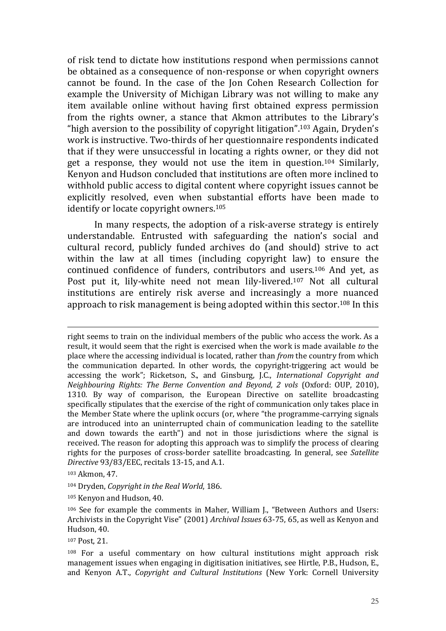of risk tend to dictate how institutions respond when permissions cannot be obtained as a consequence of non-response or when copyright owners cannot be found. In the case of the Jon Cohen Research Collection for example the University of Michigan Library was not willing to make any item available online without having first obtained express permission from the rights owner, a stance that Akmon attributes to the Library's "high aversion to the possibility of copyright litigation".103 Again, Dryden's work is instructive. Two-thirds of her questionnaire respondents indicated that if they were unsuccessful in locating a rights owner, or they did not get a response, they would not use the item in question.104 Similarly, Kenyon and Hudson concluded that institutions are often more inclined to withhold public access to digital content where copyright issues cannot be explicitly resolved, even when substantial efforts have been made to identify or locate copyright owners.<sup>105</sup>

In many respects, the adoption of a risk-averse strategy is entirely understandable. Entrusted with safeguarding the nation's social and cultural record, publicly funded archives do (and should) strive to act within the law at all times (including copyright law) to ensure the continued confidence of funders, contributors and users.106 And yet, as Post put it, lily-white need not mean lily-livered.107 Not all cultural institutions are entirely risk averse and increasingly a more nuanced approach to risk management is being adopted within this sector.108 In this

right seems to train on the individual members of the public who access the work. As a result, it would seem that the right is exercised when the work is made available to the place where the accessing individual is located, rather than from the country from which the communication departed. In other words, the copyright-triggering act would be accessing the work"; Ricketson, S., and Ginsburg, J.C., International Copyright and Neighbouring Rights: The Berne Convention and Beyond, 2 vols (Oxford: OUP, 2010), 1310. By way of comparison, the European Directive on satellite broadcasting specifically stipulates that the exercise of the right of communication only takes place in the Member State where the uplink occurs (or, where "the programme-carrying signals are introduced into an uninterrupted chain of communication leading to the satellite and down towards the earth") and not in those jurisdictions where the signal is received. The reason for adopting this approach was to simplify the process of clearing rights for the purposes of cross-border satellite broadcasting. In general, see Satellite Directive 93/83/EEC, recitals 13-15, and A.1.

<sup>103</sup> Akmon, 47.

 $\overline{a}$ 

<sup>104</sup> Dryden, Copyright in the Real World, 186.

<sup>105</sup> Kenyon and Hudson, 40.

<sup>106</sup> See for example the comments in Maher, William J., "Between Authors and Users: Archivists in the Copyright Vise" (2001) Archival Issues 63-75, 65, as well as Kenyon and Hudson, 40.

<sup>107</sup> Post, 21.

<sup>108</sup> For a useful commentary on how cultural institutions might approach risk management issues when engaging in digitisation initiatives, see Hirtle, P.B., Hudson, E., and Kenyon A.T., Copyright and Cultural Institutions (New York: Cornell University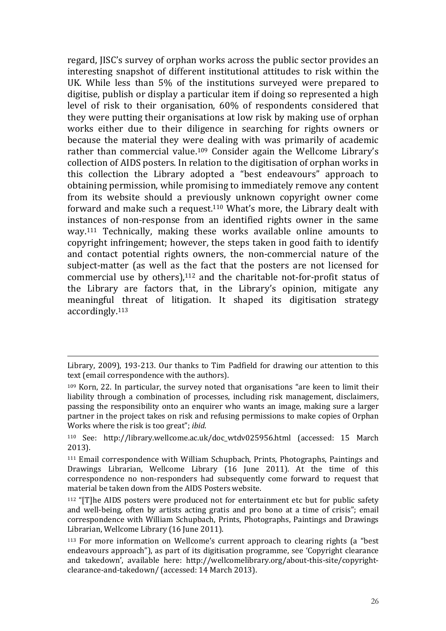regard, JISC's survey of orphan works across the public sector provides an interesting snapshot of different institutional attitudes to risk within the UK. While less than 5% of the institutions surveyed were prepared to digitise, publish or display a particular item if doing so represented a high level of risk to their organisation, 60% of respondents considered that they were putting their organisations at low risk by making use of orphan works either due to their diligence in searching for rights owners or because the material they were dealing with was primarily of academic rather than commercial value.109 Consider again the Wellcome Library's collection of AIDS posters. In relation to the digitisation of orphan works in this collection the Library adopted a "best endeavours" approach to obtaining permission, while promising to immediately remove any content from its website should a previously unknown copyright owner come forward and make such a request.110 What's more, the Library dealt with instances of non-response from an identified rights owner in the same way.111 Technically, making these works available online amounts to copyright infringement; however, the steps taken in good faith to identify and contact potential rights owners, the non-commercial nature of the subject-matter (as well as the fact that the posters are not licensed for commercial use by others),112 and the charitable not-for-profit status of the Library are factors that, in the Library's opinion, mitigate any meaningful threat of litigation. It shaped its digitisation strategy accordingly.<sup>113</sup>

Library, 2009), 193-213. Our thanks to Tim Padfield for drawing our attention to this text (email correspondence with the authors).

 $109$  Korn, 22. In particular, the survey noted that organisations "are keen to limit their liability through a combination of processes, including risk management, disclaimers, passing the responsibility onto an enquirer who wants an image, making sure a larger partner in the project takes on risk and refusing permissions to make copies of Orphan Works where the risk is too great"; *ibid.* 

<sup>110</sup> See: http://library.wellcome.ac.uk/doc\_wtdv025956.html (accessed: 15 March 2013).

<sup>111</sup> Email correspondence with William Schupbach, Prints, Photographs, Paintings and Drawings Librarian, Wellcome Library (16 June 2011). At the time of this correspondence no non-responders had subsequently come forward to request that material be taken down from the AIDS Posters website.

<sup>112</sup> "[T]he AIDS posters were produced not for entertainment etc but for public safety and well-being, often by artists acting gratis and pro bono at a time of crisis"; email correspondence with William Schupbach, Prints, Photographs, Paintings and Drawings Librarian, Wellcome Library (16 June 2011).

<sup>113</sup> For more information on Wellcome's current approach to clearing rights (a "best endeavours approach"), as part of its digitisation programme, see 'Copyright clearance and takedown', available here: http://wellcomelibrary.org/about-this-site/copyrightclearance-and-takedown/ (accessed: 14 March 2013).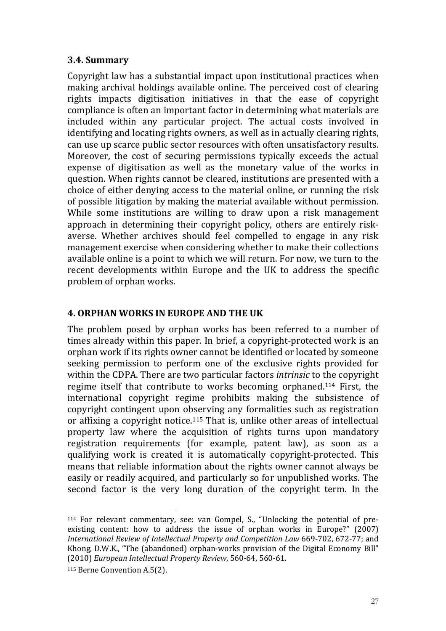## 3.4. Summary

Copyright law has a substantial impact upon institutional practices when making archival holdings available online. The perceived cost of clearing rights impacts digitisation initiatives in that the ease of copyright compliance is often an important factor in determining what materials are included within any particular project. The actual costs involved in identifying and locating rights owners, as well as in actually clearing rights, can use up scarce public sector resources with often unsatisfactory results. Moreover, the cost of securing permissions typically exceeds the actual expense of digitisation as well as the monetary value of the works in question. When rights cannot be cleared, institutions are presented with a choice of either denying access to the material online, or running the risk of possible litigation by making the material available without permission. While some institutions are willing to draw upon a risk management approach in determining their copyright policy, others are entirely riskaverse. Whether archives should feel compelled to engage in any risk management exercise when considering whether to make their collections available online is a point to which we will return. For now, we turn to the recent developments within Europe and the UK to address the specific problem of orphan works.

# 4. ORPHAN WORKS IN EUROPE AND THE UK

The problem posed by orphan works has been referred to a number of times already within this paper. In brief, a copyright-protected work is an orphan work if its rights owner cannot be identified or located by someone seeking permission to perform one of the exclusive rights provided for within the CDPA. There are two particular factors *intrinsic* to the copyright regime itself that contribute to works becoming orphaned.114 First, the international copyright regime prohibits making the subsistence of copyright contingent upon observing any formalities such as registration or affixing a copyright notice.115 That is, unlike other areas of intellectual property law where the acquisition of rights turns upon mandatory registration requirements (for example, patent law), as soon as a qualifying work is created it is automatically copyright-protected. This means that reliable information about the rights owner cannot always be easily or readily acquired, and particularly so for unpublished works. The second factor is the very long duration of the copyright term. In the

<sup>114</sup> For relevant commentary, see: van Gompel, S., "Unlocking the potential of preexisting content: how to address the issue of orphan works in Europe?" (2007) International Review of Intellectual Property and Competition Law 669-702, 672-77; and Khong, D.W.K., "The (abandoned) orphan-works provision of the Digital Economy Bill" (2010) European Intellectual Property Review, 560-64, 560-61.

<sup>115</sup> Berne Convention A.5(2).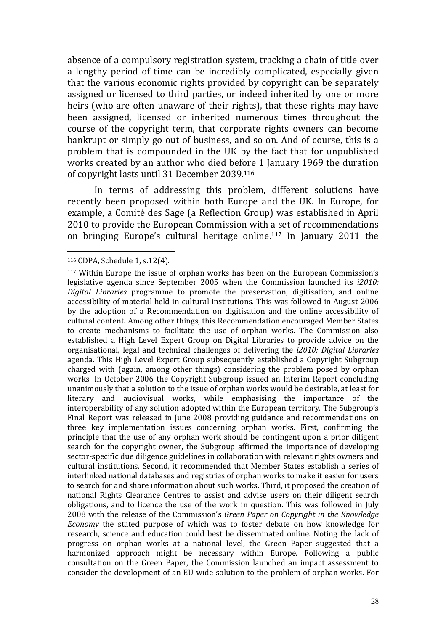absence of a compulsory registration system, tracking a chain of title over a lengthy period of time can be incredibly complicated, especially given that the various economic rights provided by copyright can be separately assigned or licensed to third parties, or indeed inherited by one or more heirs (who are often unaware of their rights), that these rights may have been assigned, licensed or inherited numerous times throughout the course of the copyright term, that corporate rights owners can become bankrupt or simply go out of business, and so on. And of course, this is a problem that is compounded in the UK by the fact that for unpublished works created by an author who died before 1 January 1969 the duration of copyright lasts until 31 December 2039.<sup>116</sup>

In terms of addressing this problem, different solutions have recently been proposed within both Europe and the UK. In Europe, for example, a Comité des Sage (a Reflection Group) was established in April 2010 to provide the European Commission with a set of recommendations on bringing Europe's cultural heritage online.117 In January 2011 the

<sup>116</sup> CDPA, Schedule 1, s.12(4).

<sup>117</sup> Within Europe the issue of orphan works has been on the European Commission's legislative agenda since September 2005 when the Commission launched its i2010: Digital Libraries programme to promote the preservation, digitisation, and online accessibility of material held in cultural institutions. This was followed in August 2006 by the adoption of a Recommendation on digitisation and the online accessibility of cultural content. Among other things, this Recommendation encouraged Member States to create mechanisms to facilitate the use of orphan works. The Commission also established a High Level Expert Group on Digital Libraries to provide advice on the organisational, legal and technical challenges of delivering the i2010: Digital Libraries agenda. This High Level Expert Group subsequently established a Copyright Subgroup charged with (again, among other things) considering the problem posed by orphan works. In October 2006 the Copyright Subgroup issued an Interim Report concluding unanimously that a solution to the issue of orphan works would be desirable, at least for literary and audiovisual works, while emphasising the importance of the interoperability of any solution adopted within the European territory. The Subgroup's Final Report was released in June 2008 providing guidance and recommendations on three key implementation issues concerning orphan works. First, confirming the principle that the use of any orphan work should be contingent upon a prior diligent search for the copyright owner, the Subgroup affirmed the importance of developing sector-specific due diligence guidelines in collaboration with relevant rights owners and cultural institutions. Second, it recommended that Member States establish a series of interlinked national databases and registries of orphan works to make it easier for users to search for and share information about such works. Third, it proposed the creation of national Rights Clearance Centres to assist and advise users on their diligent search obligations, and to licence the use of the work in question. This was followed in July 2008 with the release of the Commission's Green Paper on Copyright in the Knowledge Economy the stated purpose of which was to foster debate on how knowledge for research, science and education could best be disseminated online. Noting the lack of progress on orphan works at a national level, the Green Paper suggested that a harmonized approach might be necessary within Europe. Following a public consultation on the Green Paper, the Commission launched an impact assessment to consider the development of an EU-wide solution to the problem of orphan works. For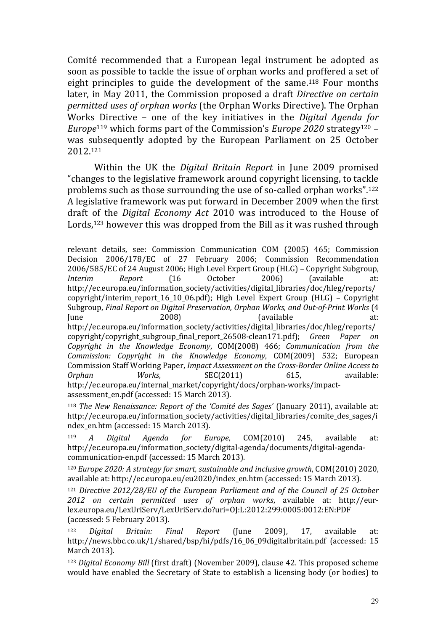Comité recommended that a European legal instrument be adopted as soon as possible to tackle the issue of orphan works and proffered a set of eight principles to guide the development of the same.<sup>118</sup> Four months later, in May 2011, the Commission proposed a draft Directive on certain permitted uses of orphan works (the Orphan Works Directive). The Orphan Works Directive – one of the key initiatives in the Digital Agenda for *Europe*<sup>119</sup> which forms part of the Commission's *Europe* 2020 strategy<sup>120</sup> – was subsequently adopted by the European Parliament on 25 October 2012.<sup>121</sup>

Within the UK the Digital Britain Report in June 2009 promised "changes to the legislative framework around copyright licensing, to tackle problems such as those surrounding the use of so-called orphan works".<sup>122</sup> A legislative framework was put forward in December 2009 when the first draft of the Digital Economy Act 2010 was introduced to the House of Lords,<sup>123</sup> however this was dropped from the Bill as it was rushed through

 $\overline{a}$ relevant details, see: Commission Communication COM (2005) 465; Commission Decision 2006/178/EC of 27 February 2006; Commission Recommendation 2006/585/EC of 24 August 2006; High Level Expert Group (HLG) – Copyright Subgroup, Interim Report (16 October 2006) (available at: http://ec.europa.eu/information\_society/activities/digital\_libraries/doc/hleg/reports/ copyright/interim\_report\_16\_10\_06.pdf); High Level Expert Group (HLG) – Copyright Subgroup, Final Report on Digital Preservation, Orphan Works, and Out-of-Print Works (4 June 2008) (available at: http://ec.europa.eu/information\_society/activities/digital\_libraries/doc/hleg/reports/ copyright/copyright\_subgroup\_final\_report\_26508-clean171.pdf); Green Paper on Copyright in the Knowledge Economy, COM(2008) 466; Communication from the Commission: Copyright in the Knowledge Economy, COM(2009) 532; European Commission Staff Working Paper, Impact Assessment on the Cross-Border Online Access to Orphan Works, SEC(2011) 615, available: http://ec.europa.eu/internal\_market/copyright/docs/orphan-works/impactassessment\_en.pdf (accessed: 15 March 2013).

<sup>118</sup> The New Renaissance: Report of the 'Comité des Sages' (January 2011), available at: http://ec.europa.eu/information\_society/activities/digital\_libraries/comite\_des\_sages/i ndex\_en.htm (accessed: 15 March 2013).

<sup>119</sup> A Digital Agenda for Europe, COM(2010) 245, available at: http://ec.europa.eu/information\_society/digital-agenda/documents/digital-agendacommunication-en.pdf (accessed: 15 March 2013).

<sup>120</sup> Europe 2020: A strategy for smart, sustainable and inclusive growth, COM(2010) 2020, available at: http://ec.europa.eu/eu2020/index\_en.htm (accessed: 15 March 2013).

<sup>121</sup> Directive 2012/28/EU of the European Parliament and of the Council of 25 October 2012 on certain permitted uses of orphan works, available at: http://eurlex.europa.eu/LexUriServ/LexUriServ.do?uri=OJ:L:2012:299:0005:0012:EN:PDF (accessed: 5 February 2013).

<sup>122</sup> Digital Britain: Final Report (June 2009), 17, available at: http://news.bbc.co.uk/1/shared/bsp/hi/pdfs/16\_06\_09digitalbritain.pdf (accessed: 15 March 2013).

<sup>123</sup> Digital Economy Bill (first draft) (November 2009), clause 42. This proposed scheme would have enabled the Secretary of State to establish a licensing body (or bodies) to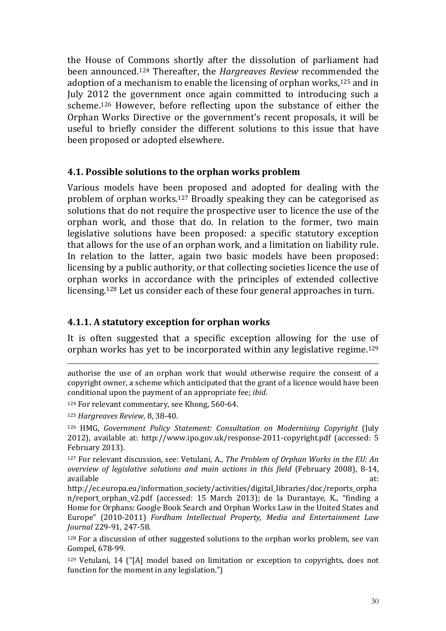the House of Commons shortly after the dissolution of parliament had been announced.124 Thereafter, the Hargreaves Review recommended the adoption of a mechanism to enable the licensing of orphan works,125 and in July 2012 the government once again committed to introducing such a scheme.126 However, before reflecting upon the substance of either the Orphan Works Directive or the government's recent proposals, it will be useful to briefly consider the different solutions to this issue that have been proposed or adopted elsewhere.

# 4.1. Possible solutions to the orphan works problem

Various models have been proposed and adopted for dealing with the problem of orphan works.127 Broadly speaking they can be categorised as solutions that do not require the prospective user to licence the use of the orphan work, and those that do. In relation to the former, two main legislative solutions have been proposed: a specific statutory exception that allows for the use of an orphan work, and a limitation on liability rule. In relation to the latter, again two basic models have been proposed: licensing by a public authority, or that collecting societies licence the use of orphan works in accordance with the principles of extended collective licensing.128 Let us consider each of these four general approaches in turn.

# 4.1.1. A statutory exception for orphan works

It is often suggested that a specific exception allowing for the use of orphan works has yet to be incorporated within any legislative regime.<sup>129</sup>

<sup>124</sup> For relevant commentary, see Khong, 560-64.

<sup>125</sup> Hargreaves Review, 8, 38-40.

 $\overline{a}$ 

<sup>126</sup> HMG, Government Policy Statement: Consultation on Modernising Copyright (July 2012), available at: http://www.ipo.gov.uk/response-2011-copyright.pdf (accessed: 5 February 2013).

<sup>127</sup> For relevant discussion, see: Vetulani, A., The Problem of Orphan Works in the EU: An overview of legislative solutions and main actions in this field (February 2008), 8-14, available at:

http://ec.europa.eu/information\_society/activities/digital\_libraries/doc/reports\_orpha n/report orphan v2.pdf (accessed: 15 March 2013); de la Durantaye, K., "finding a Home for Orphans: Google Book Search and Orphan Works Law in the United States and Europe" (2010-2011) Fordham Intellectual Property, Media and Entertainment Law Journal 229-91, 247-58.

<sup>128</sup> For a discussion of other suggested solutions to the orphan works problem, see van Gompel, 678-99.

<sup>129</sup> Vetulani, 14 ("[A] model based on limitation or exception to copyrights, does not function for the moment in any legislation.")

authorise the use of an orphan work that would otherwise require the consent of a copyright owner, a scheme which anticipated that the grant of a licence would have been conditional upon the payment of an appropriate fee; ibid.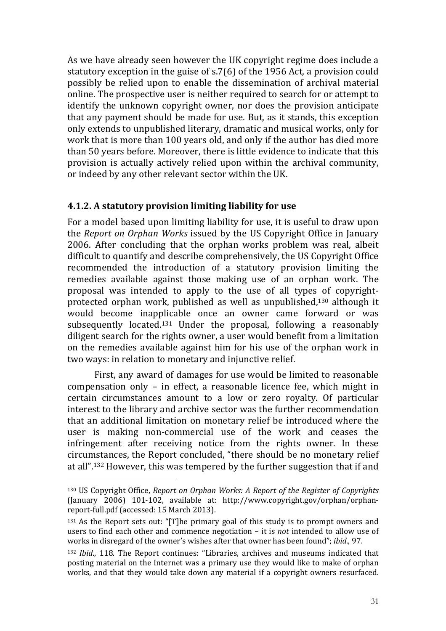As we have already seen however the UK copyright regime does include a statutory exception in the guise of s.7(6) of the 1956 Act, a provision could possibly be relied upon to enable the dissemination of archival material online. The prospective user is neither required to search for or attempt to identify the unknown copyright owner, nor does the provision anticipate that any payment should be made for use. But, as it stands, this exception only extends to unpublished literary, dramatic and musical works, only for work that is more than 100 years old, and only if the author has died more than 50 years before. Moreover, there is little evidence to indicate that this provision is actually actively relied upon within the archival community, or indeed by any other relevant sector within the UK.

# 4.1.2. A statutory provision limiting liability for use

For a model based upon limiting liability for use, it is useful to draw upon the Report on Orphan Works issued by the US Copyright Office in January 2006. After concluding that the orphan works problem was real, albeit difficult to quantify and describe comprehensively, the US Copyright Office recommended the introduction of a statutory provision limiting the remedies available against those making use of an orphan work. The proposal was intended to apply to the use of all types of copyrightprotected orphan work, published as well as unpublished,130 although it would become inapplicable once an owner came forward or was subsequently located.131 Under the proposal, following a reasonably diligent search for the rights owner, a user would benefit from a limitation on the remedies available against him for his use of the orphan work in two ways: in relation to monetary and injunctive relief.

First, any award of damages for use would be limited to reasonable compensation only – in effect, a reasonable licence fee, which might in certain circumstances amount to a low or zero royalty. Of particular interest to the library and archive sector was the further recommendation that an additional limitation on monetary relief be introduced where the user is making non-commercial use of the work and ceases the infringement after receiving notice from the rights owner. In these circumstances, the Report concluded, "there should be no monetary relief at all".132 However, this was tempered by the further suggestion that if and

<sup>130</sup> US Copyright Office, Report on Orphan Works: A Report of the Register of Copyrights (January 2006) 101-102, available at: http://www.copyright.gov/orphan/orphanreport-full.pdf (accessed: 15 March 2013).

<sup>131</sup> As the Report sets out: "[T]he primary goal of this study is to prompt owners and users to find each other and commence negotiation – it is not intended to allow use of works in disregard of the owner's wishes after that owner has been found"; ibid., 97.

<sup>132</sup> Ibid., 118. The Report continues: "Libraries, archives and museums indicated that posting material on the Internet was a primary use they would like to make of orphan works, and that they would take down any material if a copyright owners resurfaced.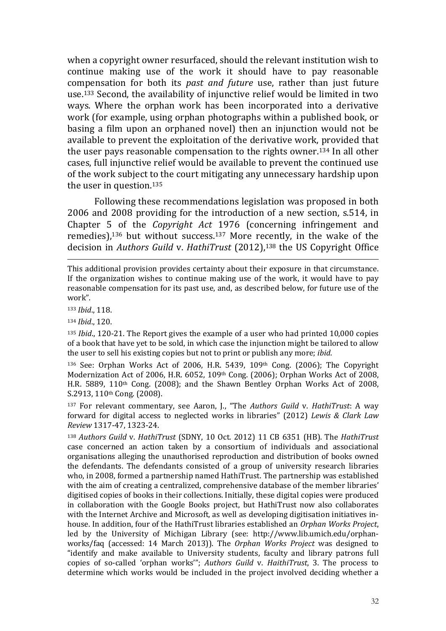when a copyright owner resurfaced, should the relevant institution wish to continue making use of the work it should have to pay reasonable compensation for both its past and future use, rather than just future use.133 Second, the availability of injunctive relief would be limited in two ways. Where the orphan work has been incorporated into a derivative work (for example, using orphan photographs within a published book, or basing a film upon an orphaned novel) then an injunction would not be available to prevent the exploitation of the derivative work, provided that the user pays reasonable compensation to the rights owner.134 In all other cases, full injunctive relief would be available to prevent the continued use of the work subject to the court mitigating any unnecessary hardship upon the user in question.<sup>135</sup>

Following these recommendations legislation was proposed in both 2006 and 2008 providing for the introduction of a new section, s.514, in Chapter 5 of the Copyright Act 1976 (concerning infringement and remedies),136 but without success.137 More recently, in the wake of the decision in Authors Guild v. HathiTrust (2012),<sup>138</sup> the US Copyright Office

<sup>133</sup> Ibid., 118.

 $\overline{a}$ 

<sup>134</sup> Ibid., 120.

135 Ibid., 120-21. The Report gives the example of a user who had printed 10,000 copies of a book that have yet to be sold, in which case the injunction might be tailored to allow the user to sell his existing copies but not to print or publish any more; ibid.

<sup>136</sup> See: Orphan Works Act of 2006, H.R. 5439, 109th Cong. (2006); The Copyright Modernization Act of 2006, H.R. 6052, 109<sup>th</sup> Cong. (2006); Orphan Works Act of 2008, H.R. 5889, 110th Cong. (2008); and the Shawn Bentley Orphan Works Act of 2008, S.2913, 110th Cong. (2008).

<sup>137</sup> For relevant commentary, see Aaron, J., "The Authors Guild v. HathiTrust: A way forward for digital access to neglected works in libraries" (2012) Lewis & Clark Law Review 1317-47, 1323-24.

<sup>138</sup> Authors Guild v. HathiTrust (SDNY, 10 Oct. 2012) 11 CB 6351 (HB). The HathiTrust case concerned an action taken by a consortium of individuals and associational organisations alleging the unauthorised reproduction and distribution of books owned the defendants. The defendants consisted of a group of university research libraries who, in 2008, formed a partnership named HathiTrust. The partnership was established with the aim of creating a centralized, comprehensive database of the member libraries' digitised copies of books in their collections. Initially, these digital copies were produced in collaboration with the Google Books project, but HathiTrust now also collaborates with the Internet Archive and Microsoft, as well as developing digitisation initiatives inhouse. In addition, four of the HathiTrust libraries established an Orphan Works Project, led by the University of Michigan Library (see: http://www.lib.umich.edu/orphanworks/faq (accessed: 14 March 2013)). The Orphan Works Project was designed to "identify and make available to University students, faculty and library patrons full copies of so-called 'orphan works'"; Authors Guild v. HaithiTrust, 3. The process to determine which works would be included in the project involved deciding whether a

This additional provision provides certainty about their exposure in that circumstance. If the organization wishes to continue making use of the work, it would have to pay reasonable compensation for its past use, and, as described below, for future use of the work".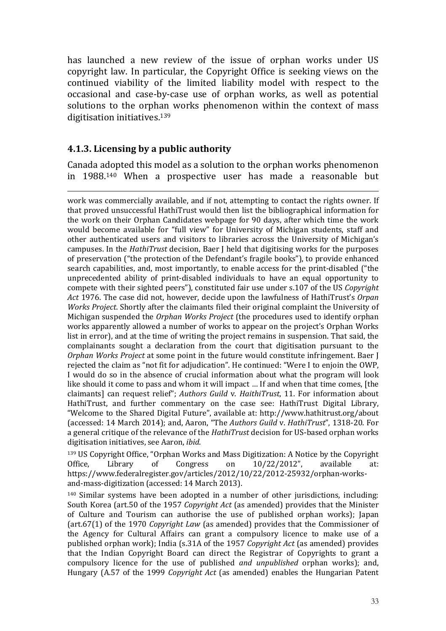has launched a new review of the issue of orphan works under US copyright law. In particular, the Copyright Office is seeking views on the continued viability of the limited liability model with respect to the occasional and case-by-case use of orphan works, as well as potential solutions to the orphan works phenomenon within the context of mass digitisation initiatives.<sup>139</sup>

## 4.1.3. Licensing by a public authority

 $\overline{a}$ 

Canada adopted this model as a solution to the orphan works phenomenon in 1988.140 When a prospective user has made a reasonable but

work was commercially available, and if not, attempting to contact the rights owner. If that proved unsuccessful HathiTrust would then list the bibliographical information for the work on their Orphan Candidates webpage for 90 days, after which time the work would become available for "full view" for University of Michigan students, staff and other authenticated users and visitors to libraries across the University of Michigan's campuses. In the HathiTrust decision, Baer J held that digitising works for the purposes of preservation ("the protection of the Defendant's fragile books"), to provide enhanced search capabilities, and, most importantly, to enable access for the print-disabled ("the unprecedented ability of print-disabled individuals to have an equal opportunity to compete with their sighted peers"), constituted fair use under s.107 of the US Copyright Act 1976. The case did not, however, decide upon the lawfulness of HathiTrust's Orpan Works Project. Shortly after the claimants filed their original complaint the University of Michigan suspended the Orphan Works Project (the procedures used to identify orphan works apparently allowed a number of works to appear on the project's Orphan Works list in error), and at the time of writing the project remains in suspension. That said, the complainants sought a declaration from the court that digitisation pursuant to the Orphan Works Project at some point in the future would constitute infringement. Baer J rejected the claim as "not fit for adjudication". He continued: "Were I to enjoin the OWP, I would do so in the absence of crucial information about what the program will look like should it come to pass and whom it will impact … If and when that time comes, [the claimants] can request relief"; Authors Guild v. HaithiTrust, 11. For information about HathiTrust, and further commentary on the case see: HathiTrust Digital Library, "Welcome to the Shared Digital Future", available at: http://www.hathitrust.org/about (accessed: 14 March 2014); and, Aaron, "The Authors Guild v. HathiTrust", 1318-20. For a general critique of the relevance of the HathiTrust decision for US-based orphan works digitisation initiatives, see Aaron, ibid.

<sup>139</sup> US Copyright Office, "Orphan Works and Mass Digitization: A Notice by the Copyright Office, Library of Congress on 10/22/2012", available at: https://www.federalregister.gov/articles/2012/10/22/2012-25932/orphan-worksand-mass-digitization (accessed: 14 March 2013).

<sup>140</sup> Similar systems have been adopted in a number of other jurisdictions, including: South Korea (art.50 of the 1957 Copyright Act (as amended) provides that the Minister of Culture and Tourism can authorise the use of published orphan works); Japan (art.67(1) of the 1970 Copyright Law (as amended) provides that the Commissioner of the Agency for Cultural Affairs can grant a compulsory licence to make use of a published orphan work); India (s.31A of the 1957 Copyright Act (as amended) provides that the Indian Copyright Board can direct the Registrar of Copyrights to grant a compulsory licence for the use of published and unpublished orphan works); and, Hungary (A.57 of the 1999 Copyright Act (as amended) enables the Hungarian Patent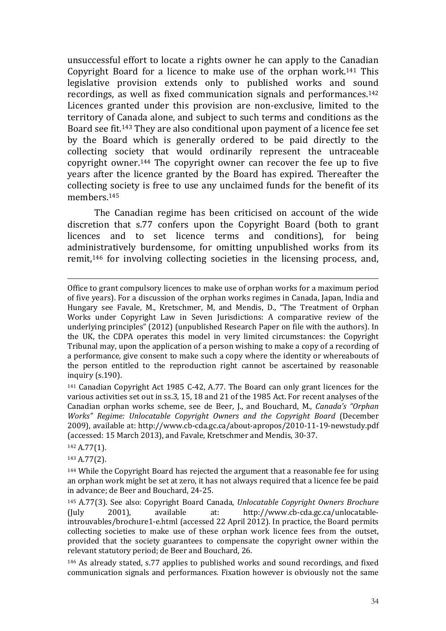unsuccessful effort to locate a rights owner he can apply to the Canadian Copyright Board for a licence to make use of the orphan work.141 This legislative provision extends only to published works and sound recordings, as well as fixed communication signals and performances.<sup>142</sup> Licences granted under this provision are non-exclusive, limited to the territory of Canada alone, and subject to such terms and conditions as the Board see fit.143 They are also conditional upon payment of a licence fee set by the Board which is generally ordered to be paid directly to the collecting society that would ordinarily represent the untraceable copyright owner.144 The copyright owner can recover the fee up to five years after the licence granted by the Board has expired. Thereafter the collecting society is free to use any unclaimed funds for the benefit of its members<sup>145</sup>

The Canadian regime has been criticised on account of the wide discretion that s.77 confers upon the Copyright Board (both to grant licences and to set licence terms and conditions), for being administratively burdensome, for omitting unpublished works from its remit,146 for involving collecting societies in the licensing process, and,

 $\overline{a}$ 

<sup>143</sup> A.77(2).

Office to grant compulsory licences to make use of orphan works for a maximum period of five years). For a discussion of the orphan works regimes in Canada, Japan, India and Hungary see Favale, M., Kretschmer, M, and Mendis, D., "The Treatment of Orphan Works under Copyright Law in Seven Jurisdictions: A comparative review of the underlying principles" (2012) (unpublished Research Paper on file with the authors). In the UK, the CDPA operates this model in very limited circumstances: the Copyright Tribunal may, upon the application of a person wishing to make a copy of a recording of a performance, give consent to make such a copy where the identity or whereabouts of the person entitled to the reproduction right cannot be ascertained by reasonable inquiry (s.190).

<sup>141</sup> Canadian Copyright Act 1985 C-42, A.77. The Board can only grant licences for the various activities set out in ss.3, 15, 18 and 21 of the 1985 Act. For recent analyses of the Canadian orphan works scheme, see de Beer, J., and Bouchard, M., Canada's "Orphan Works" Regime: Unlocatable Copyright Owners and the Copyright Board (December 2009), available at: http://www.cb-cda.gc.ca/about-apropos/2010-11-19-newstudy.pdf (accessed: 15 March 2013), and Favale, Kretschmer and Mendis, 30-37.

<sup>142</sup> A.77(1).

<sup>&</sup>lt;sup>144</sup> While the Copyright Board has rejected the argument that a reasonable fee for using an orphan work might be set at zero, it has not always required that a licence fee be paid in advance; de Beer and Bouchard, 24-25.

<sup>145</sup> A.77(3). See also: Copyright Board Canada, Unlocatable Copyright Owners Brochure (July 2001), available at: http://www.cb-cda.gc.ca/unlocatableintrouvables/brochure1-e.html (accessed 22 April 2012). In practice, the Board permits collecting societies to make use of these orphan work licence fees from the outset, provided that the society guarantees to compensate the copyright owner within the relevant statutory period; de Beer and Bouchard, 26.

<sup>146</sup> As already stated, s.77 applies to published works and sound recordings, and fixed communication signals and performances. Fixation however is obviously not the same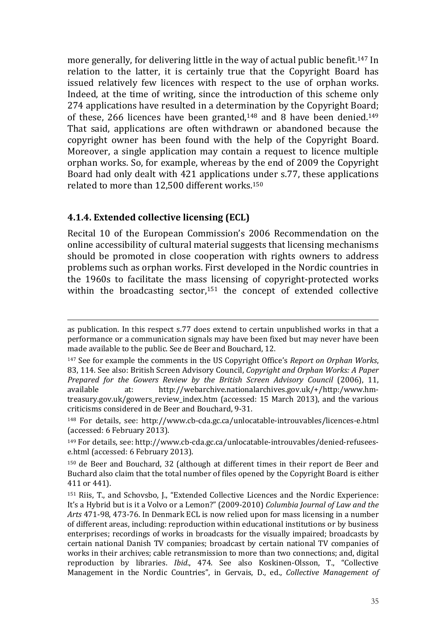more generally, for delivering little in the way of actual public benefit.147 In relation to the latter, it is certainly true that the Copyright Board has issued relatively few licences with respect to the use of orphan works. Indeed, at the time of writing, since the introduction of this scheme only 274 applications have resulted in a determination by the Copyright Board; of these, 266 licences have been granted,148 and 8 have been denied.<sup>149</sup> That said, applications are often withdrawn or abandoned because the copyright owner has been found with the help of the Copyright Board. Moreover, a single application may contain a request to licence multiple orphan works. So, for example, whereas by the end of 2009 the Copyright Board had only dealt with 421 applications under s.77, these applications related to more than 12,500 different works.<sup>150</sup>

#### 4.1.4. Extended collective licensing (ECL)

 $\overline{a}$ 

Recital 10 of the European Commission's 2006 Recommendation on the online accessibility of cultural material suggests that licensing mechanisms should be promoted in close cooperation with rights owners to address problems such as orphan works. First developed in the Nordic countries in the 1960s to facilitate the mass licensing of copyright-protected works within the broadcasting sector,151 the concept of extended collective

as publication. In this respect s.77 does extend to certain unpublished works in that a performance or a communication signals may have been fixed but may never have been made available to the public. See de Beer and Bouchard, 12.

<sup>&</sup>lt;sup>147</sup> See for example the comments in the US Copyright Office's Report on Orphan Works, 83, 114. See also: British Screen Advisory Council, Copyright and Orphan Works: A Paper Prepared for the Gowers Review by the British Screen Advisory Council (2006), 11, available at: http://webarchive.nationalarchives.gov.uk/+/http:/www.hmtreasury.gov.uk/gowers review index.htm (accessed: 15 March 2013), and the various criticisms considered in de Beer and Bouchard, 9-31.

<sup>148</sup> For details, see: http://www.cb-cda.gc.ca/unlocatable-introuvables/licences-e.html (accessed: 6 February 2013).

<sup>149</sup> For details, see: http://www.cb-cda.gc.ca/unlocatable-introuvables/denied-refuseese.html (accessed: 6 February 2013).

<sup>150</sup> de Beer and Bouchard, 32 (although at different times in their report de Beer and Buchard also claim that the total number of files opened by the Copyright Board is either 411 or 441).

<sup>151</sup> Riis, T., and Schovsbo, J., "Extended Collective Licences and the Nordic Experience: It's a Hybrid but is it a Volvo or a Lemon?" (2009-2010) Columbia Journal of Law and the Arts 471-98, 473-76. In Denmark ECL is now relied upon for mass licensing in a number of different areas, including: reproduction within educational institutions or by business enterprises; recordings of works in broadcasts for the visually impaired; broadcasts by certain national Danish TV companies; broadcast by certain national TV companies of works in their archives; cable retransmission to more than two connections; and, digital reproduction by libraries. Ibid., 474. See also Koskinen-Olsson, T., "Collective Management in the Nordic Countries", in Gervais, D., ed., Collective Management of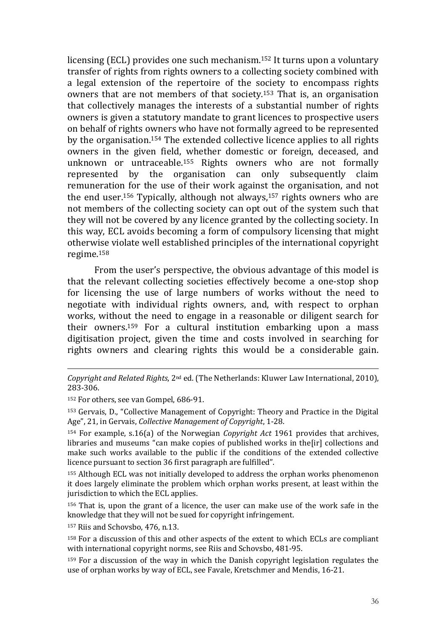licensing (ECL) provides one such mechanism.152 It turns upon a voluntary transfer of rights from rights owners to a collecting society combined with a legal extension of the repertoire of the society to encompass rights owners that are not members of that society.153 That is, an organisation that collectively manages the interests of a substantial number of rights owners is given a statutory mandate to grant licences to prospective users on behalf of rights owners who have not formally agreed to be represented by the organisation.154 The extended collective licence applies to all rights owners in the given field, whether domestic or foreign, deceased, and unknown or untraceable.155 Rights owners who are not formally represented by the organisation can only subsequently claim remuneration for the use of their work against the organisation, and not the end user.156 Typically, although not always,157 rights owners who are not members of the collecting society can opt out of the system such that they will not be covered by any licence granted by the collecting society. In this way, ECL avoids becoming a form of compulsory licensing that might otherwise violate well established principles of the international copyright regime.<sup>158</sup>

From the user's perspective, the obvious advantage of this model is that the relevant collecting societies effectively become a one-stop shop for licensing the use of large numbers of works without the need to negotiate with individual rights owners, and, with respect to orphan works, without the need to engage in a reasonable or diligent search for their owners.159 For a cultural institution embarking upon a mass digitisation project, given the time and costs involved in searching for rights owners and clearing rights this would be a considerable gain.

<sup>152</sup> For others, see van Gompel, 686-91.

 $\overline{a}$ 

<sup>153</sup> Gervais, D., "Collective Management of Copyright: Theory and Practice in the Digital Age", 21, in Gervais, Collective Management of Copyright, 1-28.

 $154$  For example, s.16(a) of the Norwegian *Copyright Act* 1961 provides that archives, libraries and museums "can make copies of published works in the[ir] collections and make such works available to the public if the conditions of the extended collective licence pursuant to section 36 first paragraph are fulfilled".

<sup>155</sup> Although ECL was not initially developed to address the orphan works phenomenon it does largely eliminate the problem which orphan works present, at least within the jurisdiction to which the ECL applies.

<sup>156</sup> That is, upon the grant of a licence, the user can make use of the work safe in the knowledge that they will not be sued for copyright infringement.

<sup>157</sup> Riis and Schovsbo, 476, n.13.

Copyright and Related Rights, 2nd ed. (The Netherlands: Kluwer Law International, 2010), 283-306.

<sup>&</sup>lt;sup>158</sup> For a discussion of this and other aspects of the extent to which ECLs are compliant with international copyright norms, see Riis and Schovsbo, 481-95.

<sup>&</sup>lt;sup>159</sup> For a discussion of the way in which the Danish copyright legislation regulates the use of orphan works by way of ECL, see Favale, Kretschmer and Mendis, 16-21.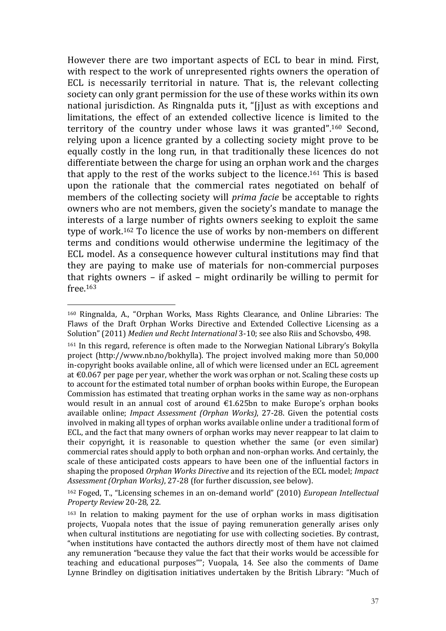However there are two important aspects of ECL to bear in mind. First, with respect to the work of unrepresented rights owners the operation of ECL is necessarily territorial in nature. That is, the relevant collecting society can only grant permission for the use of these works within its own national jurisdiction. As Ringnalda puts it, "[j]ust as with exceptions and limitations, the effect of an extended collective licence is limited to the territory of the country under whose laws it was granted".160 Second, relying upon a licence granted by a collecting society might prove to be equally costly in the long run, in that traditionally these licences do not differentiate between the charge for using an orphan work and the charges that apply to the rest of the works subject to the licence.161 This is based upon the rationale that the commercial rates negotiated on behalf of members of the collecting society will prima facie be acceptable to rights owners who are not members, given the society's mandate to manage the interests of a large number of rights owners seeking to exploit the same type of work.162 To licence the use of works by non-members on different terms and conditions would otherwise undermine the legitimacy of the ECL model. As a consequence however cultural institutions may find that they are paying to make use of materials for non-commercial purposes that rights owners – if asked – might ordinarily be willing to permit for free.<sup>163</sup>

<sup>160</sup> Ringnalda, A., "Orphan Works, Mass Rights Clearance, and Online Libraries: The Flaws of the Draft Orphan Works Directive and Extended Collective Licensing as a Solution" (2011) Medien und Recht International 3-10; see also Riis and Schovsbo, 498.

<sup>161</sup> In this regard, reference is often made to the Norwegian National Library's Bokylla project (http://www.nb.no/bokhylla). The project involved making more than 50,000 in-copyright books available online, all of which were licensed under an ECL agreement at  $\epsilon$ 0.067 per page per year, whether the work was orphan or not. Scaling these costs up to account for the estimated total number of orphan books within Europe, the European Commission has estimated that treating orphan works in the same way as non-orphans would result in an annual cost of around €1.625bn to make Europe's orphan books available online; Impact Assessment (Orphan Works), 27-28. Given the potential costs involved in making all types of orphan works available online under a traditional form of ECL, and the fact that many owners of orphan works may never reappear to lat claim to their copyright, it is reasonable to question whether the same (or even similar) commercial rates should apply to both orphan and non-orphan works. And certainly, the scale of these anticipated costs appears to have been one of the influential factors in shaping the proposed Orphan Works Directive and its rejection of the ECL model; Impact Assessment (Orphan Works), 27-28 (for further discussion, see below).

<sup>162</sup> Foged, T., "Licensing schemes in an on-demand world" (2010) European Intellectual Property Review 20-28, 22.

<sup>163</sup> In relation to making payment for the use of orphan works in mass digitisation projects, Vuopala notes that the issue of paying remuneration generally arises only when cultural institutions are negotiating for use with collecting societies. By contrast, "when institutions have contacted the authors directly most of them have not claimed any remuneration "because they value the fact that their works would be accessible for teaching and educational purposes""; Vuopala, 14. See also the comments of Dame Lynne Brindley on digitisation initiatives undertaken by the British Library: "Much of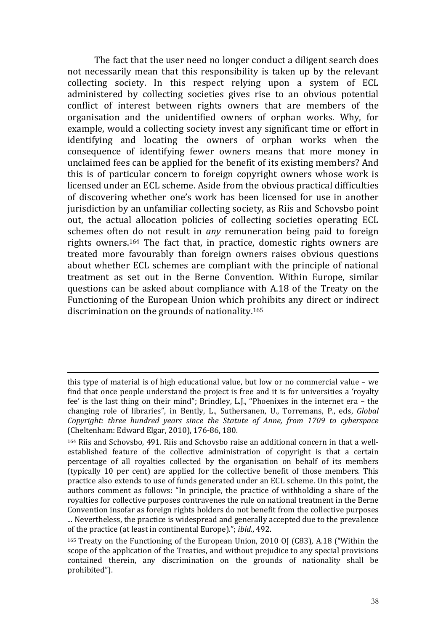The fact that the user need no longer conduct a diligent search does not necessarily mean that this responsibility is taken up by the relevant collecting society. In this respect relying upon a system of ECL administered by collecting societies gives rise to an obvious potential conflict of interest between rights owners that are members of the organisation and the unidentified owners of orphan works. Why, for example, would a collecting society invest any significant time or effort in identifying and locating the owners of orphan works when the consequence of identifying fewer owners means that more money in unclaimed fees can be applied for the benefit of its existing members? And this is of particular concern to foreign copyright owners whose work is licensed under an ECL scheme. Aside from the obvious practical difficulties of discovering whether one's work has been licensed for use in another jurisdiction by an unfamiliar collecting society, as Riis and Schovsbo point out, the actual allocation policies of collecting societies operating ECL schemes often do not result in any remuneration being paid to foreign rights owners.164 The fact that, in practice, domestic rights owners are treated more favourably than foreign owners raises obvious questions about whether ECL schemes are compliant with the principle of national treatment as set out in the Berne Convention. Within Europe, similar questions can be asked about compliance with A.18 of the Treaty on the Functioning of the European Union which prohibits any direct or indirect discrimination on the grounds of nationality.<sup>165</sup>

this type of material is of high educational value, but low or no commercial value – we find that once people understand the project is free and it is for universities a 'royalty fee' is the last thing on their mind"; Brindley, L.J., "Phoenixes in the internet era – the changing role of libraries", in Bently, L., Suthersanen, U., Torremans, P., eds, Global Copyright: three hundred years since the Statute of Anne, from 1709 to cyberspace (Cheltenham: Edward Elgar, 2010), 176-86, 180.

<sup>164</sup> Riis and Schovsbo, 491. Riis and Schovsbo raise an additional concern in that a wellestablished feature of the collective administration of copyright is that a certain percentage of all royalties collected by the organisation on behalf of its members (typically 10 per cent) are applied for the collective benefit of those members. This practice also extends to use of funds generated under an ECL scheme. On this point, the authors comment as follows: "In principle, the practice of withholding a share of the royalties for collective purposes contravenes the rule on national treatment in the Berne Convention insofar as foreign rights holders do not benefit from the collective purposes ... Nevertheless, the practice is widespread and generally accepted due to the prevalence of the practice (at least in continental Europe)."; ibid., 492.

<sup>165</sup> Treaty on the Functioning of the European Union, 2010 OJ (C83), A.18 ("Within the scope of the application of the Treaties, and without prejudice to any special provisions contained therein, any discrimination on the grounds of nationality shall be prohibited").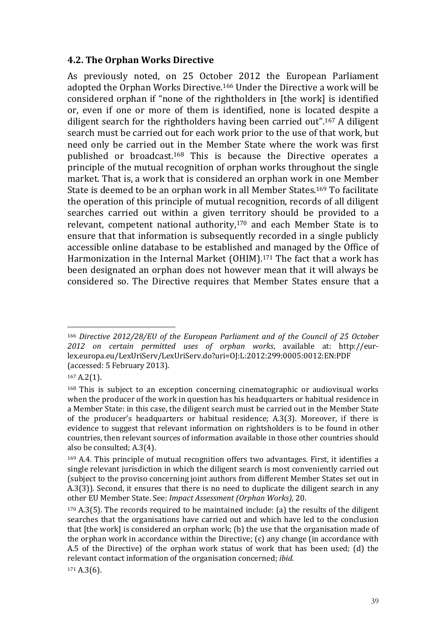#### 4.2. The Orphan Works Directive

As previously noted, on 25 October 2012 the European Parliament adopted the Orphan Works Directive.166 Under the Directive a work will be considered orphan if "none of the rightholders in [the work] is identified or, even if one or more of them is identified, none is located despite a diligent search for the rightholders having been carried out".167 A diligent search must be carried out for each work prior to the use of that work, but need only be carried out in the Member State where the work was first published or broadcast.168 This is because the Directive operates a principle of the mutual recognition of orphan works throughout the single market. That is, a work that is considered an orphan work in one Member State is deemed to be an orphan work in all Member States.169 To facilitate the operation of this principle of mutual recognition, records of all diligent searches carried out within a given territory should be provided to a relevant, competent national authority,<sup>170</sup> and each Member State is to ensure that that information is subsequently recorded in a single publicly accessible online database to be established and managed by the Office of Harmonization in the Internal Market (OHIM).171 The fact that a work has been designated an orphan does not however mean that it will always be considered so. The Directive requires that Member States ensure that a

<sup>167</sup> A.2(1).

 $\overline{a}$ <sup>166</sup> Directive 2012/28/EU of the European Parliament and of the Council of 25 October 2012 on certain permitted uses of orphan works, available at: http://eurlex.europa.eu/LexUriServ/LexUriServ.do?uri=OJ:L:2012:299:0005:0012:EN:PDF (accessed: 5 February 2013).

<sup>168</sup> This is subject to an exception concerning cinematographic or audiovisual works when the producer of the work in question has his headquarters or habitual residence in a Member State: in this case, the diligent search must be carried out in the Member State of the producer's headquarters or habitual residence; A.3(3). Moreover, if there is evidence to suggest that relevant information on rightsholders is to be found in other countries, then relevant sources of information available in those other countries should also be consulted; A.3(4).

<sup>169</sup> A.4. This principle of mutual recognition offers two advantages. First, it identifies a single relevant jurisdiction in which the diligent search is most conveniently carried out (subject to the proviso concerning joint authors from different Member States set out in A.3(3)). Second, it ensures that there is no need to duplicate the diligent search in any other EU Member State. See: Impact Assessment (Orphan Works), 20.

 $170$  A.3(5). The records required to be maintained include: (a) the results of the diligent searches that the organisations have carried out and which have led to the conclusion that [the work] is considered an orphan work; (b) the use that the organisation made of the orphan work in accordance within the Directive; (c) any change (in accordance with A.5 of the Directive) of the orphan work status of work that has been used; (d) the relevant contact information of the organisation concerned; ibid.

<sup>171</sup> A.3(6).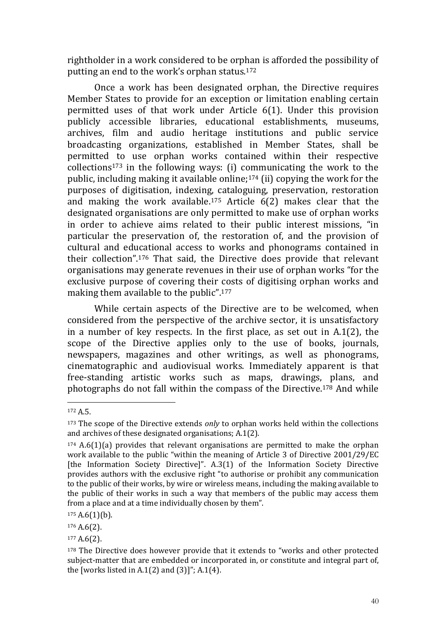rightholder in a work considered to be orphan is afforded the possibility of putting an end to the work's orphan status.<sup>172</sup>

Once a work has been designated orphan, the Directive requires Member States to provide for an exception or limitation enabling certain permitted uses of that work under Article 6(1). Under this provision publicly accessible libraries, educational establishments, museums, archives, film and audio heritage institutions and public service broadcasting organizations, established in Member States, shall be permitted to use orphan works contained within their respective collections173 in the following ways: (i) communicating the work to the public, including making it available online;174 (ii) copying the work for the purposes of digitisation, indexing, cataloguing, preservation, restoration and making the work available.175 Article 6(2) makes clear that the designated organisations are only permitted to make use of orphan works in order to achieve aims related to their public interest missions, "in particular the preservation of, the restoration of, and the provision of cultural and educational access to works and phonograms contained in their collection".176 That said, the Directive does provide that relevant organisations may generate revenues in their use of orphan works "for the exclusive purpose of covering their costs of digitising orphan works and making them available to the public".<sup>177</sup>

While certain aspects of the Directive are to be welcomed, when considered from the perspective of the archive sector, it is unsatisfactory in a number of key respects. In the first place, as set out in A.1(2), the scope of the Directive applies only to the use of books, journals, newspapers, magazines and other writings, as well as phonograms, cinematographic and audiovisual works. Immediately apparent is that free-standing artistic works such as maps, drawings, plans, and photographs do not fall within the compass of the Directive.178 And while

<sup>172</sup> A.5.

 $173$  The scope of the Directive extends *only* to orphan works held within the collections and archives of these designated organisations; A.1(2).

<sup>174</sup> A.6(1)(a) provides that relevant organisations are permitted to make the orphan work available to the public "within the meaning of Article 3 of Directive 2001/29/EC [the Information Society Directive]". A.3(1) of the Information Society Directive provides authors with the exclusive right "to authorise or prohibit any communication to the public of their works, by wire or wireless means, including the making available to the public of their works in such a way that members of the public may access them from a place and at a time individually chosen by them".

 $175$  A.6(1)(b).

<sup>176</sup> A.6(2).

<sup>177</sup> A.6(2).

<sup>178</sup> The Directive does however provide that it extends to "works and other protected subject-matter that are embedded or incorporated in, or constitute and integral part of, the [works listed in A.1 $(2)$  and  $(3)$ ]"; A.1 $(4)$ .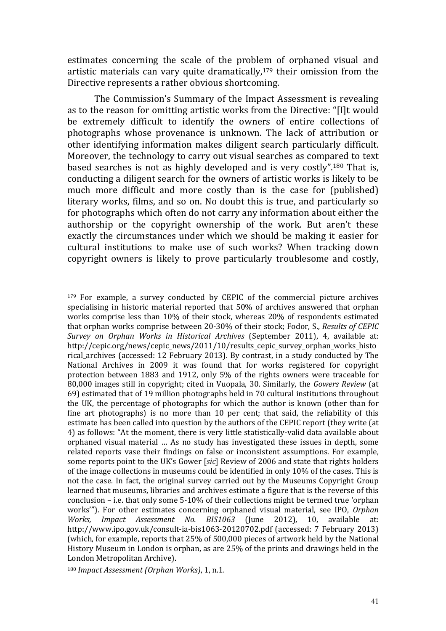estimates concerning the scale of the problem of orphaned visual and artistic materials can vary quite dramatically,179 their omission from the Directive represents a rather obvious shortcoming.

The Commission's Summary of the Impact Assessment is revealing as to the reason for omitting artistic works from the Directive: "[I]t would be extremely difficult to identify the owners of entire collections of photographs whose provenance is unknown. The lack of attribution or other identifying information makes diligent search particularly difficult. Moreover, the technology to carry out visual searches as compared to text based searches is not as highly developed and is very costly".180 That is, conducting a diligent search for the owners of artistic works is likely to be much more difficult and more costly than is the case for (published) literary works, films, and so on. No doubt this is true, and particularly so for photographs which often do not carry any information about either the authorship or the copyright ownership of the work. But aren't these exactly the circumstances under which we should be making it easier for cultural institutions to make use of such works? When tracking down copyright owners is likely to prove particularly troublesome and costly,

<sup>&</sup>lt;sup>179</sup> For example, a survey conducted by CEPIC of the commercial picture archives specialising in historic material reported that 50% of archives answered that orphan works comprise less than 10% of their stock, whereas 20% of respondents estimated that orphan works comprise between 20-30% of their stock; Fodor, S., Results of CEPIC Survey on Orphan Works in Historical Archives (September 2011), 4, available at: http://cepic.org/news/cepic\_news/2011/10/results\_cepic\_survey\_orphan\_works\_histo rical\_archives (accessed: 12 February 2013). By contrast, in a study conducted by The National Archives in 2009 it was found that for works registered for copyright protection between 1883 and 1912, only 5% of the rights owners were traceable for 80,000 images still in copyright; cited in Vuopala, 30. Similarly, the Gowers Review (at 69) estimated that of 19 million photographs held in 70 cultural institutions throughout the UK, the percentage of photographs for which the author is known (other than for fine art photographs) is no more than 10 per cent; that said, the reliability of this estimate has been called into question by the authors of the CEPIC report (they write (at 4) as follows: "At the moment, there is very little statistically-valid data available about orphaned visual material … As no study has investigated these issues in depth, some related reports vase their findings on false or inconsistent assumptions. For example, some reports point to the UK's Gower [sic] Review of 2006 and state that rights holders of the image collections in museums could be identified in only 10% of the cases. This is not the case. In fact, the original survey carried out by the Museums Copyright Group learned that museums, libraries and archives estimate a figure that is the reverse of this conclusion – i.e. that only some 5-10% of their collections might be termed true 'orphan works""). For other estimates concerning orphaned visual material, see IPO, Orphan Works, Impact Assessment No. BIS1063 (June 2012), 10, available at: http://www.ipo.gov.uk/consult-ia-bis1063-20120702.pdf (accessed: 7 February 2013) (which, for example, reports that 25% of 500,000 pieces of artwork held by the National History Museum in London is orphan, as are 25% of the prints and drawings held in the London Metropolitan Archive).

<sup>180</sup> Impact Assessment (Orphan Works), 1, n.1.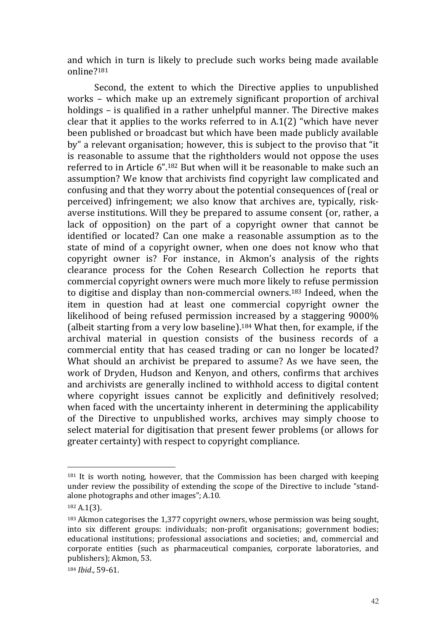and which in turn is likely to preclude such works being made available online?<sup>181</sup>

Second, the extent to which the Directive applies to unpublished works – which make up an extremely significant proportion of archival holdings – is qualified in a rather unhelpful manner. The Directive makes clear that it applies to the works referred to in A.1(2) "which have never been published or broadcast but which have been made publicly available by" a relevant organisation; however, this is subject to the proviso that "it is reasonable to assume that the rightholders would not oppose the uses referred to in Article 6".182 But when will it be reasonable to make such an assumption? We know that archivists find copyright law complicated and confusing and that they worry about the potential consequences of (real or perceived) infringement; we also know that archives are, typically, riskaverse institutions. Will they be prepared to assume consent (or, rather, a lack of opposition) on the part of a copyright owner that cannot be identified or located? Can one make a reasonable assumption as to the state of mind of a copyright owner, when one does not know who that copyright owner is? For instance, in Akmon's analysis of the rights clearance process for the Cohen Research Collection he reports that commercial copyright owners were much more likely to refuse permission to digitise and display than non-commercial owners.183 Indeed, when the item in question had at least one commercial copyright owner the likelihood of being refused permission increased by a staggering 9000% (albeit starting from a very low baseline).184 What then, for example, if the archival material in question consists of the business records of a commercial entity that has ceased trading or can no longer be located? What should an archivist be prepared to assume? As we have seen, the work of Dryden, Hudson and Kenyon, and others, confirms that archives and archivists are generally inclined to withhold access to digital content where copyright issues cannot be explicitly and definitively resolved; when faced with the uncertainty inherent in determining the applicability of the Directive to unpublished works, archives may simply choose to select material for digitisation that present fewer problems (or allows for greater certainty) with respect to copyright compliance.

<sup>181</sup> It is worth noting, however, that the Commission has been charged with keeping under review the possibility of extending the scope of the Directive to include "standalone photographs and other images"; A.10.

<sup>182</sup> A.1(3).

<sup>183</sup> Akmon categorises the 1,377 copyright owners, whose permission was being sought, into six different groups: individuals; non-profit organisations; government bodies; educational institutions; professional associations and societies; and, commercial and corporate entities (such as pharmaceutical companies, corporate laboratories, and publishers); Akmon, 53.

<sup>184</sup> Ibid., 59-61.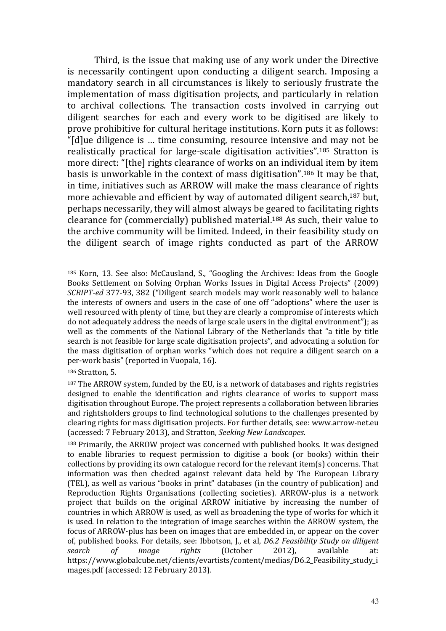Third, is the issue that making use of any work under the Directive is necessarily contingent upon conducting a diligent search. Imposing a mandatory search in all circumstances is likely to seriously frustrate the implementation of mass digitisation projects, and particularly in relation to archival collections. The transaction costs involved in carrying out diligent searches for each and every work to be digitised are likely to prove prohibitive for cultural heritage institutions. Korn puts it as follows: "[d]ue diligence is … time consuming, resource intensive and may not be realistically practical for large-scale digitisation activities".185 Stratton is more direct: "[the] rights clearance of works on an individual item by item basis is unworkable in the context of mass digitisation".186 It may be that, in time, initiatives such as ARROW will make the mass clearance of rights more achievable and efficient by way of automated diligent search,<sup>187</sup> but, perhaps necessarily, they will almost always be geared to facilitating rights clearance for (commercially) published material.188 As such, their value to the archive community will be limited. Indeed, in their feasibility study on the diligent search of image rights conducted as part of the ARROW

<sup>186</sup> Stratton, 5.

<sup>185</sup> Korn, 13. See also: McCausland, S., "Googling the Archives: Ideas from the Google Books Settlement on Solving Orphan Works Issues in Digital Access Projects" (2009) SCRIPT-ed 377-93, 382 ("Diligent search models may work reasonably well to balance the interests of owners and users in the case of one off "adoptions" where the user is well resourced with plenty of time, but they are clearly a compromise of interests which do not adequately address the needs of large scale users in the digital environment"); as well as the comments of the National Library of the Netherlands that "a title by title search is not feasible for large scale digitisation projects", and advocating a solution for the mass digitisation of orphan works "which does not require a diligent search on a per-work basis" (reported in Vuopala, 16).

<sup>&</sup>lt;sup>187</sup> The ARROW system, funded by the EU, is a network of databases and rights registries designed to enable the identification and rights clearance of works to support mass digitisation throughout Europe. The project represents a collaboration between libraries and rightsholders groups to find technological solutions to the challenges presented by clearing rights for mass digitisation projects. For further details, see: www.arrow-net.eu (accessed: 7 February 2013), and Stratton, Seeking New Landscapes.

<sup>188</sup> Primarily, the ARROW project was concerned with published books. It was designed to enable libraries to request permission to digitise a book (or books) within their collections by providing its own catalogue record for the relevant item(s) concerns. That information was then checked against relevant data held by The European Library (TEL), as well as various "books in print" databases (in the country of publication) and Reproduction Rights Organisations (collecting societies). ARROW-plus is a network project that builds on the original ARROW initiative by increasing the number of countries in which ARROW is used, as well as broadening the type of works for which it is used. In relation to the integration of image searches within the ARROW system, the focus of ARROW-plus has been on images that are embedded in, or appear on the cover of, published books. For details, see: Ibbotson, J., et al, D6.2 Feasibility Study on diligent search of image rights (October 2012), available at: https://www.globalcube.net/clients/evartists/content/medias/D6.2\_Feasibility\_study\_i mages.pdf (accessed: 12 February 2013).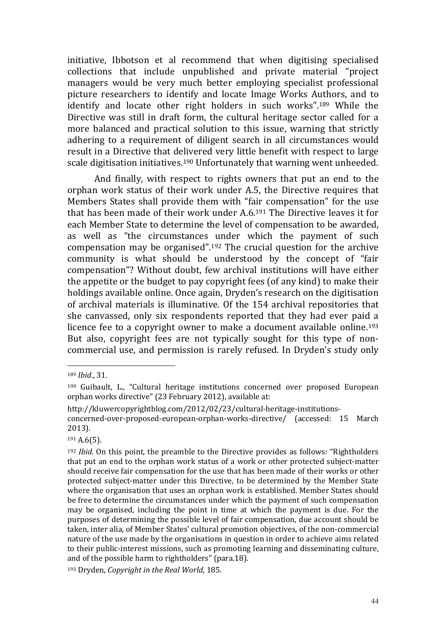initiative, Ibbotson et al recommend that when digitising specialised collections that include unpublished and private material "project managers would be very much better employing specialist professional picture researchers to identify and locate Image Works Authors, and to identify and locate other right holders in such works".189 While the Directive was still in draft form, the cultural heritage sector called for a more balanced and practical solution to this issue, warning that strictly adhering to a requirement of diligent search in all circumstances would result in a Directive that delivered very little benefit with respect to large scale digitisation initiatives.190 Unfortunately that warning went unheeded.

 And finally, with respect to rights owners that put an end to the orphan work status of their work under A.5, the Directive requires that Members States shall provide them with "fair compensation" for the use that has been made of their work under A.6.191 The Directive leaves it for each Member State to determine the level of compensation to be awarded, as well as "the circumstances under which the payment of such compensation may be organised".192 The crucial question for the archive community is what should be understood by the concept of "fair compensation"? Without doubt, few archival institutions will have either the appetite or the budget to pay copyright fees (of any kind) to make their holdings available online. Once again, Dryden's research on the digitisation of archival materials is illuminative. Of the 154 archival repositories that she canvassed, only six respondents reported that they had ever paid a licence fee to a copyright owner to make a document available online.<sup>193</sup> But also, copyright fees are not typically sought for this type of noncommercial use, and permission is rarely refused. In Dryden's study only

 $\overline{a}$ 

<sup>191</sup> A.6(5).

<sup>189</sup> Ibid., 31.

<sup>190</sup> Guibault, L., "Cultural heritage institutions concerned over proposed European orphan works directive" (23 February 2012), available at:

http://kluwercopyrightblog.com/2012/02/23/cultural-heritage-institutions-

concerned-over-proposed-european-orphan-works-directive/ (accessed: 15 March 2013).

<sup>192</sup> Ibid. On this point, the preamble to the Directive provides as follows: "Rightholders that put an end to the orphan work status of a work or other protected subject-matter should receive fair compensation for the use that has been made of their works or other protected subject-matter under this Directive, to be determined by the Member State where the organisation that uses an orphan work is established. Member States should be free to determine the circumstances under which the payment of such compensation may be organised, including the point in time at which the payment is due. For the purposes of determining the possible level of fair compensation, due account should be taken, inter alia, of Member States' cultural promotion objectives, of the non-commercial nature of the use made by the organisations in question in order to achieve aims related to their public-interest missions, such as promoting learning and disseminating culture, and of the possible harm to rightholders" (para.18).

<sup>193</sup> Dryden, Copyright in the Real World, 185.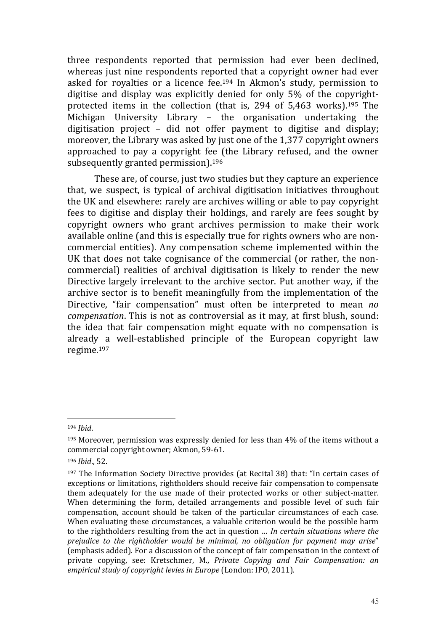three respondents reported that permission had ever been declined, whereas just nine respondents reported that a copyright owner had ever asked for royalties or a licence fee.194 In Akmon's study, permission to digitise and display was explicitly denied for only 5% of the copyrightprotected items in the collection (that is, 294 of 5,463 works).195 The Michigan University Library – the organisation undertaking the digitisation project – did not offer payment to digitise and display; moreover, the Library was asked by just one of the 1,377 copyright owners approached to pay a copyright fee (the Library refused, and the owner subsequently granted permission).<sup>196</sup>

These are, of course, just two studies but they capture an experience that, we suspect, is typical of archival digitisation initiatives throughout the UK and elsewhere: rarely are archives willing or able to pay copyright fees to digitise and display their holdings, and rarely are fees sought by copyright owners who grant archives permission to make their work available online (and this is especially true for rights owners who are noncommercial entities). Any compensation scheme implemented within the UK that does not take cognisance of the commercial (or rather, the noncommercial) realities of archival digitisation is likely to render the new Directive largely irrelevant to the archive sector. Put another way, if the archive sector is to benefit meaningfully from the implementation of the Directive, "fair compensation" must often be interpreted to mean no compensation. This is not as controversial as it may, at first blush, sound: the idea that fair compensation might equate with no compensation is already a well-established principle of the European copyright law regime.<sup>197</sup>

<sup>194</sup> Ibid.

 $195$  Moreover, permission was expressly denied for less than  $4\%$  of the items without a commercial copyright owner; Akmon, 59-61.

<sup>196</sup> Ibid., 52.

<sup>197</sup> The Information Society Directive provides (at Recital 38) that: "In certain cases of exceptions or limitations, rightholders should receive fair compensation to compensate them adequately for the use made of their protected works or other subject-matter. When determining the form, detailed arrangements and possible level of such fair compensation, account should be taken of the particular circumstances of each case. When evaluating these circumstances, a valuable criterion would be the possible harm to the rightholders resulting from the act in question … In certain situations where the prejudice to the rightholder would be minimal, no obligation for payment may arise" (emphasis added). For a discussion of the concept of fair compensation in the context of private copying, see: Kretschmer, M., Private Copying and Fair Compensation: an empirical study of copyright levies in Europe (London: IPO, 2011).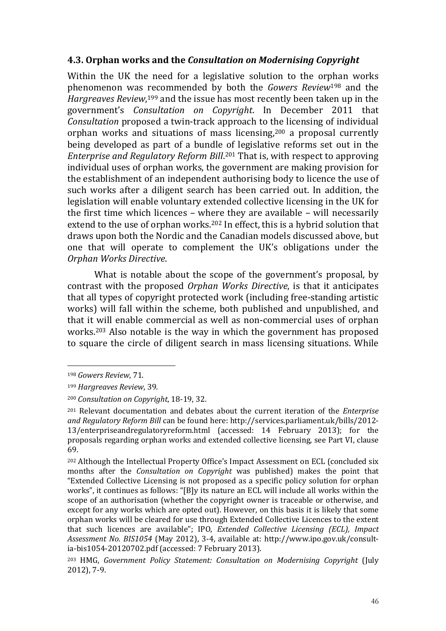# 4.3. Orphan works and the Consultation on Modernising Copyright

Within the UK the need for a legislative solution to the orphan works phenomenon was recommended by both the Gowers Review198 and the Hargreaves Review,<sup>199</sup> and the issue has most recently been taken up in the government's Consultation on Copyright. In December 2011 that Consultation proposed a twin-track approach to the licensing of individual orphan works and situations of mass licensing,200 a proposal currently being developed as part of a bundle of legislative reforms set out in the Enterprise and Regulatory Reform Bill. <sup>201</sup> That is, with respect to approving individual uses of orphan works, the government are making provision for the establishment of an independent authorising body to licence the use of such works after a diligent search has been carried out. In addition, the legislation will enable voluntary extended collective licensing in the UK for the first time which licences – where they are available – will necessarily extend to the use of orphan works.<sup>202</sup> In effect, this is a hybrid solution that draws upon both the Nordic and the Canadian models discussed above, but one that will operate to complement the UK's obligations under the Orphan Works Directive.

What is notable about the scope of the government's proposal, by contrast with the proposed Orphan Works Directive, is that it anticipates that all types of copyright protected work (including free-standing artistic works) will fall within the scheme, both published and unpublished, and that it will enable commercial as well as non-commercial uses of orphan works.203 Also notable is the way in which the government has proposed to square the circle of diligent search in mass licensing situations. While

<sup>198</sup> Gowers Review, 71.

<sup>199</sup> Hargreaves Review, 39.

<sup>200</sup> Consultation on Copyright, 18-19, 32.

<sup>&</sup>lt;sup>201</sup> Relevant documentation and debates about the current iteration of the *Enterprise* and Regulatory Reform Bill can be found here: http://services.parliament.uk/bills/2012- 13/enterpriseandregulatoryreform.html (accessed: 14 February 2013); for the proposals regarding orphan works and extended collective licensing, see Part VI, clause 69.

<sup>202</sup> Although the Intellectual Property Office's Impact Assessment on ECL (concluded six months after the Consultation on Copyright was published) makes the point that "Extended Collective Licensing is not proposed as a specific policy solution for orphan works", it continues as follows: "[B]y its nature an ECL will include all works within the scope of an authorisation (whether the copyright owner is traceable or otherwise, and except for any works which are opted out). However, on this basis it is likely that some orphan works will be cleared for use through Extended Collective Licences to the extent that such licences are available"; IPO, Extended Collective Licensing (ECL), Impact Assessment No. BIS1054 (May 2012), 3-4, available at: http://www.ipo.gov.uk/consultia-bis1054-20120702.pdf (accessed: 7 February 2013).

<sup>203</sup> HMG, Government Policy Statement: Consultation on Modernising Copyright (July 2012), 7-9.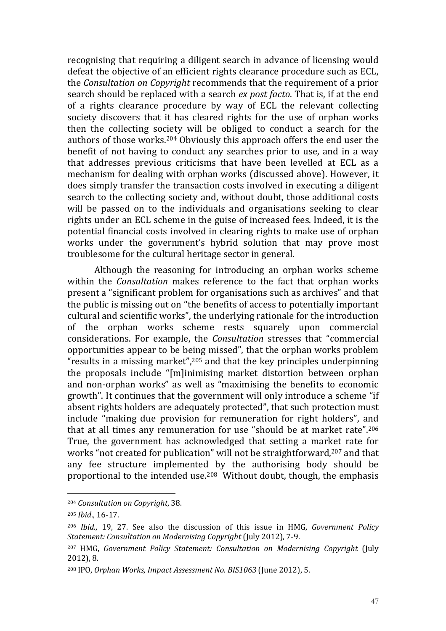recognising that requiring a diligent search in advance of licensing would defeat the objective of an efficient rights clearance procedure such as ECL, the Consultation on Copyright recommends that the requirement of a prior search should be replaced with a search ex post facto. That is, if at the end of a rights clearance procedure by way of ECL the relevant collecting society discovers that it has cleared rights for the use of orphan works then the collecting society will be obliged to conduct a search for the authors of those works.204 Obviously this approach offers the end user the benefit of not having to conduct any searches prior to use, and in a way that addresses previous criticisms that have been levelled at ECL as a mechanism for dealing with orphan works (discussed above). However, it does simply transfer the transaction costs involved in executing a diligent search to the collecting society and, without doubt, those additional costs will be passed on to the individuals and organisations seeking to clear rights under an ECL scheme in the guise of increased fees. Indeed, it is the potential financial costs involved in clearing rights to make use of orphan works under the government's hybrid solution that may prove most troublesome for the cultural heritage sector in general.

Although the reasoning for introducing an orphan works scheme within the Consultation makes reference to the fact that orphan works present a "significant problem for organisations such as archives" and that the public is missing out on "the benefits of access to potentially important cultural and scientific works", the underlying rationale for the introduction of the orphan works scheme rests squarely upon commercial considerations. For example, the Consultation stresses that "commercial opportunities appear to be being missed", that the orphan works problem "results in a missing market", $205$  and that the key principles underpinning the proposals include "[m]inimising market distortion between orphan and non-orphan works" as well as "maximising the benefits to economic growth". It continues that the government will only introduce a scheme "if absent rights holders are adequately protected", that such protection must include "making due provision for remuneration for right holders", and that at all times any remuneration for use "should be at market rate".<sup>206</sup> True, the government has acknowledged that setting a market rate for works "not created for publication" will not be straightforward,<sup>207</sup> and that any fee structure implemented by the authorising body should be proportional to the intended use.208 Without doubt, though, the emphasis

<sup>204</sup> Consultation on Copyright, 38.

<sup>205</sup> Ibid., 16-17.

<sup>206</sup> Ibid., 19, 27. See also the discussion of this issue in HMG, Government Policy Statement: Consultation on Modernising Copyright (July 2012), 7-9.

<sup>207</sup> HMG, Government Policy Statement: Consultation on Modernising Copyright (July 2012), 8.

<sup>208</sup> IPO, Orphan Works, Impact Assessment No. BIS1063 (June 2012), 5.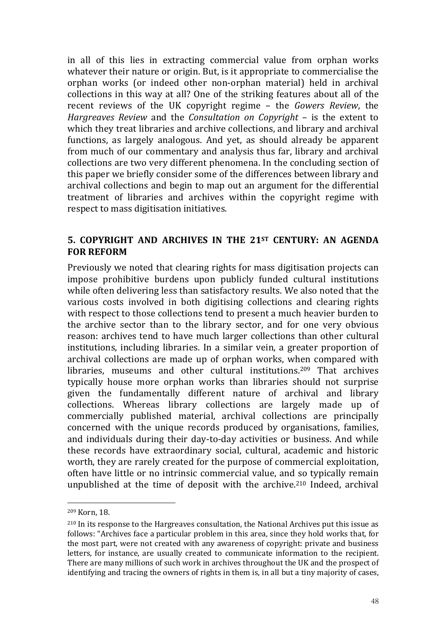in all of this lies in extracting commercial value from orphan works whatever their nature or origin. But, is it appropriate to commercialise the orphan works (or indeed other non-orphan material) held in archival collections in this way at all? One of the striking features about all of the recent reviews of the UK copyright regime – the Gowers Review, the Hargreaves Review and the Consultation on Copyright – is the extent to which they treat libraries and archive collections, and library and archival functions, as largely analogous. And yet, as should already be apparent from much of our commentary and analysis thus far, library and archival collections are two very different phenomena. In the concluding section of this paper we briefly consider some of the differences between library and archival collections and begin to map out an argument for the differential treatment of libraries and archives within the copyright regime with respect to mass digitisation initiatives.

# 5. COPYRIGHT AND ARCHIVES IN THE 21ST CENTURY: AN AGENDA FOR REFORM

Previously we noted that clearing rights for mass digitisation projects can impose prohibitive burdens upon publicly funded cultural institutions while often delivering less than satisfactory results. We also noted that the various costs involved in both digitising collections and clearing rights with respect to those collections tend to present a much heavier burden to the archive sector than to the library sector, and for one very obvious reason: archives tend to have much larger collections than other cultural institutions, including libraries. In a similar vein, a greater proportion of archival collections are made up of orphan works, when compared with libraries, museums and other cultural institutions.<sup>209</sup> That archives typically house more orphan works than libraries should not surprise given the fundamentally different nature of archival and library collections. Whereas library collections are largely made up of commercially published material, archival collections are principally concerned with the unique records produced by organisations, families, and individuals during their day-to-day activities or business. And while these records have extraordinary social, cultural, academic and historic worth, they are rarely created for the purpose of commercial exploitation, often have little or no intrinsic commercial value, and so typically remain unpublished at the time of deposit with the archive. <sup>210</sup> Indeed, archival

<sup>209</sup> Korn, 18.

<sup>210</sup> In its response to the Hargreaves consultation, the National Archives put this issue as follows: "Archives face a particular problem in this area, since they hold works that, for the most part, were not created with any awareness of copyright: private and business letters, for instance, are usually created to communicate information to the recipient. There are many millions of such work in archives throughout the UK and the prospect of identifying and tracing the owners of rights in them is, in all but a tiny majority of cases,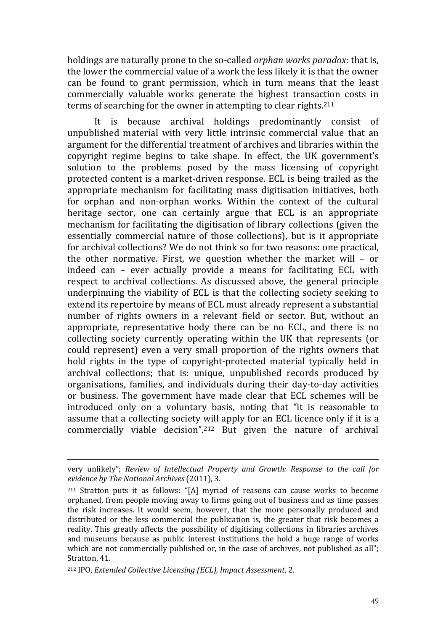holdings are naturally prone to the so-called orphan works paradox: that is, the lower the commercial value of a work the less likely it is that the owner can be found to grant permission, which in turn means that the least commercially valuable works generate the highest transaction costs in terms of searching for the owner in attempting to clear rights.<sup>211</sup>

It is because archival holdings predominantly consist of unpublished material with very little intrinsic commercial value that an argument for the differential treatment of archives and libraries within the copyright regime begins to take shape. In effect, the UK government's solution to the problems posed by the mass licensing of copyright protected content is a market-driven response. ECL is being trailed as the appropriate mechanism for facilitating mass digitisation initiatives, both for orphan and non-orphan works. Within the context of the cultural heritage sector, one can certainly argue that ECL is an appropriate mechanism for facilitating the digitisation of library collections (given the essentially commercial nature of those collections), but is it appropriate for archival collections? We do not think so for two reasons: one practical, the other normative. First, we question whether the market will – or indeed can – ever actually provide a means for facilitating ECL with respect to archival collections. As discussed above, the general principle underpinning the viability of ECL is that the collecting society seeking to extend its repertoire by means of ECL must already represent a substantial number of rights owners in a relevant field or sector. But, without an appropriate, representative body there can be no ECL, and there is no collecting society currently operating within the UK that represents (or could represent) even a very small proportion of the rights owners that hold rights in the type of copyright-protected material typically held in archival collections; that is: unique, unpublished records produced by organisations, families, and individuals during their day-to-day activities or business. The government have made clear that ECL schemes will be introduced only on a voluntary basis, noting that "it is reasonable to assume that a collecting society will apply for an ECL licence only if it is a commercially viable decision".212 But given the nature of archival

very unlikely"; Review of Intellectual Property and Growth: Response to the call for evidence by The National Archives (2011), 3.

<sup>211</sup> Stratton puts it as follows: "[A] myriad of reasons can cause works to become orphaned, from people moving away to firms going out of business and as time passes the risk increases. It would seem, however, that the more personally produced and distributed or the less commercial the publication is, the greater that risk becomes a reality. This greatly affects the possibility of digitising collections in libraries archives and museums because as public interest institutions the hold a huge range of works which are not commercially published or, in the case of archives, not published as all"; Stratton, 41.

<sup>212</sup> IPO, Extended Collective Licensing (ECL), Impact Assessment, 2.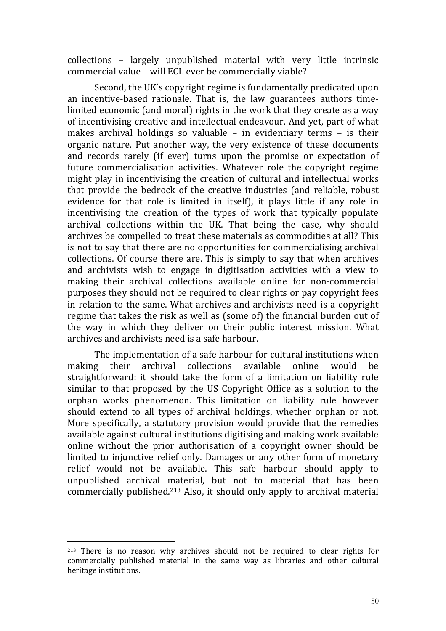collections – largely unpublished material with very little intrinsic commercial value – will ECL ever be commercially viable?

Second, the UK's copyright regime is fundamentally predicated upon an incentive-based rationale. That is, the law guarantees authors timelimited economic (and moral) rights in the work that they create as a way of incentivising creative and intellectual endeavour. And yet, part of what makes archival holdings so valuable – in evidentiary terms – is their organic nature. Put another way, the very existence of these documents and records rarely (if ever) turns upon the promise or expectation of future commercialisation activities. Whatever role the copyright regime might play in incentivising the creation of cultural and intellectual works that provide the bedrock of the creative industries (and reliable, robust evidence for that role is limited in itself), it plays little if any role in incentivising the creation of the types of work that typically populate archival collections within the UK. That being the case, why should archives be compelled to treat these materials as commodities at all? This is not to say that there are no opportunities for commercialising archival collections. Of course there are. This is simply to say that when archives and archivists wish to engage in digitisation activities with a view to making their archival collections available online for non-commercial purposes they should not be required to clear rights or pay copyright fees in relation to the same. What archives and archivists need is a copyright regime that takes the risk as well as (some of) the financial burden out of the way in which they deliver on their public interest mission. What archives and archivists need is a safe harbour.

 The implementation of a safe harbour for cultural institutions when making their archival collections available online would be straightforward: it should take the form of a limitation on liability rule similar to that proposed by the US Copyright Office as a solution to the orphan works phenomenon. This limitation on liability rule however should extend to all types of archival holdings, whether orphan or not. More specifically, a statutory provision would provide that the remedies available against cultural institutions digitising and making work available online without the prior authorisation of a copyright owner should be limited to injunctive relief only. Damages or any other form of monetary relief would not be available. This safe harbour should apply to unpublished archival material, but not to material that has been commercially published.213 Also, it should only apply to archival material

<sup>213</sup> There is no reason why archives should not be required to clear rights for commercially published material in the same way as libraries and other cultural heritage institutions.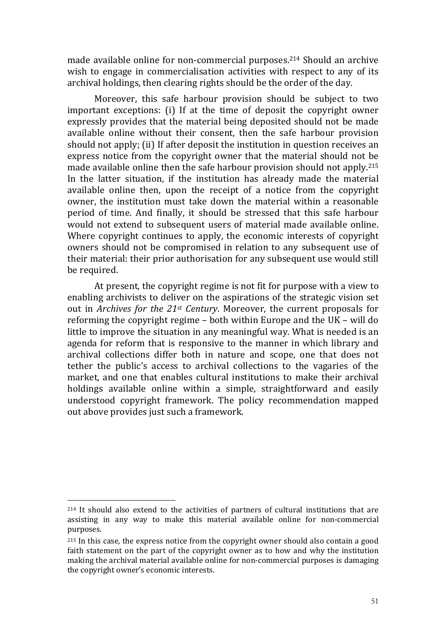made available online for non-commercial purposes.214 Should an archive wish to engage in commercialisation activities with respect to any of its archival holdings, then clearing rights should be the order of the day.

Moreover, this safe harbour provision should be subject to two important exceptions: (i) If at the time of deposit the copyright owner expressly provides that the material being deposited should not be made available online without their consent, then the safe harbour provision should not apply; (ii) If after deposit the institution in question receives an express notice from the copyright owner that the material should not be made available online then the safe harbour provision should not apply.<sup>215</sup> In the latter situation, if the institution has already made the material available online then, upon the receipt of a notice from the copyright owner, the institution must take down the material within a reasonable period of time. And finally, it should be stressed that this safe harbour would not extend to subsequent users of material made available online. Where copyright continues to apply, the economic interests of copyright owners should not be compromised in relation to any subsequent use of their material: their prior authorisation for any subsequent use would still be required.

 At present, the copyright regime is not fit for purpose with a view to enabling archivists to deliver on the aspirations of the strategic vision set out in Archives for the  $21st$  Century. Moreover, the current proposals for reforming the copyright regime – both within Europe and the UK – will do little to improve the situation in any meaningful way. What is needed is an agenda for reform that is responsive to the manner in which library and archival collections differ both in nature and scope, one that does not tether the public's access to archival collections to the vagaries of the market, and one that enables cultural institutions to make their archival holdings available online within a simple, straightforward and easily understood copyright framework. The policy recommendation mapped out above provides just such a framework.

<sup>214</sup> It should also extend to the activities of partners of cultural institutions that are assisting in any way to make this material available online for non-commercial purposes.

<sup>&</sup>lt;sup>215</sup> In this case, the express notice from the copyright owner should also contain a good faith statement on the part of the copyright owner as to how and why the institution making the archival material available online for non-commercial purposes is damaging the copyright owner's economic interests.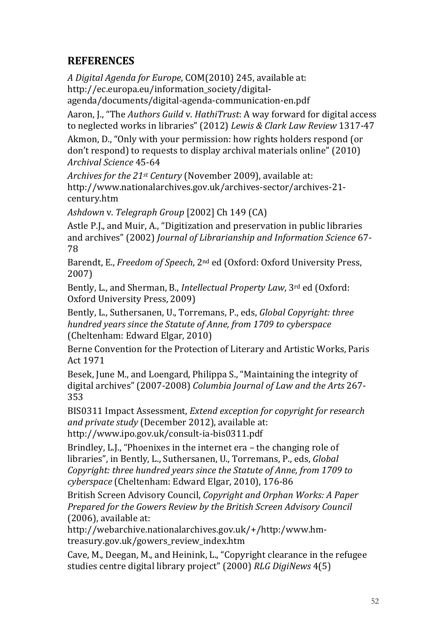# **REFERENCES**

A Digital Agenda for Europe, COM(2010) 245, available at: http://ec.europa.eu/information\_society/digital-

agenda/documents/digital-agenda-communication-en.pdf

Aaron, J., "The Authors Guild v. HathiTrust: A way forward for digital access to neglected works in libraries" (2012) Lewis & Clark Law Review 1317-47

Akmon, D., "Only with your permission: how rights holders respond (or don't respond) to requests to display archival materials online" (2010) Archival Science 45-64

Archives for the 21<sup>st</sup> Century (November 2009), available at: http://www.nationalarchives.gov.uk/archives-sector/archives-21 century.htm

Ashdown v. Telegraph Group [2002] Ch 149 (CA)

Astle P.J., and Muir, A., "Digitization and preservation in public libraries and archives" (2002) Journal of Librarianship and Information Science 67- 78

Barendt, E., Freedom of Speech, 2nd ed (Oxford: Oxford University Press, 2007)

Bently, L., and Sherman, B., Intellectual Property Law, 3rd ed (Oxford: Oxford University Press, 2009)

Bently, L., Suthersanen, U., Torremans, P., eds, Global Copyright: three hundred years since the Statute of Anne, from 1709 to cyberspace (Cheltenham: Edward Elgar, 2010)

Berne Convention for the Protection of Literary and Artistic Works, Paris Act 1971

Besek, June M., and Loengard, Philippa S., "Maintaining the integrity of digital archives" (2007-2008) Columbia Journal of Law and the Arts 267- 353

BIS0311 Impact Assessment, Extend exception for copyright for research and private study (December 2012), available at: http://www.ipo.gov.uk/consult-ia-bis0311.pdf

Brindley, L.J., "Phoenixes in the internet era – the changing role of libraries", in Bently, L., Suthersanen, U., Torremans, P., eds, Global Copyright: three hundred years since the Statute of Anne, from 1709 to cyberspace (Cheltenham: Edward Elgar, 2010), 176-86

British Screen Advisory Council, Copyright and Orphan Works: A Paper Prepared for the Gowers Review by the British Screen Advisory Council (2006), available at:

http://webarchive.nationalarchives.gov.uk/+/http:/www.hmtreasury.gov.uk/gowers review index.htm

Cave, M., Deegan, M., and Heinink, L., "Copyright clearance in the refugee studies centre digital library project" (2000) RLG DigiNews 4(5)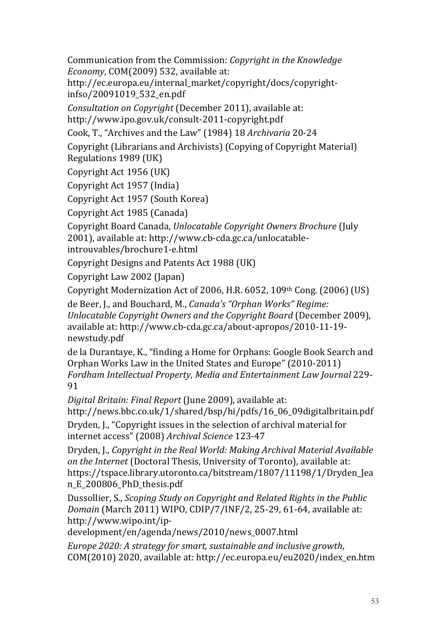Communication from the Commission: Copyright in the Knowledge Economy, COM(2009) 532, available at:

http://ec.europa.eu/internal\_market/copyright/docs/copyrightinfso/20091019\_532\_en.pdf

Consultation on Copyright (December 2011), available at: http://www.ipo.gov.uk/consult-2011-copyright.pdf

Cook, T., "Archives and the Law" (1984) 18 Archivaria 20-24

Copyright (Librarians and Archivists) (Copying of Copyright Material) Regulations 1989 (UK)

Copyright Act 1956 (UK)

Copyright Act 1957 (India)

Copyright Act 1957 (South Korea)

Copyright Act 1985 (Canada)

Copyright Board Canada, Unlocatable Copyright Owners Brochure (July 2001), available at: http://www.cb-cda.gc.ca/unlocatableintrouvables/brochure1-e.html

Copyright Designs and Patents Act 1988 (UK)

Copyright Law 2002 (Japan)

Copyright Modernization Act of 2006, H.R. 6052, 109th Cong. (2006) (US)

de Beer, J., and Bouchard, M., Canada's "Orphan Works" Regime: Unlocatable Copyright Owners and the Copyright Board (December 2009), available at: http://www.cb-cda.gc.ca/about-apropos/2010-11-19 newstudy.pdf

de la Durantaye, K., "finding a Home for Orphans: Google Book Search and Orphan Works Law in the United States and Europe" (2010-2011) Fordham Intellectual Property, Media and Entertainment Law Journal 229- 91

Digital Britain: Final Report (June 2009), available at: http://news.bbc.co.uk/1/shared/bsp/hi/pdfs/16\_06\_09digitalbritain.pdf Dryden, J., "Copyright issues in the selection of archival material for internet access" (2008) Archival Science 123-47

Dryden, J., Copyright in the Real World: Making Archival Material Available on the Internet (Doctoral Thesis, University of Toronto), available at: https://tspace.library.utoronto.ca/bitstream/1807/11198/1/Dryden Jea n\_E\_200806\_PhD\_thesis.pdf

Dussollier, S., Scoping Study on Copyright and Related Rights in the Public Domain (March 2011) WIPO, CDIP/7/INF/2, 25-29, 61-64, available at: http://www.wipo.int/ip-

development/en/agenda/news/2010/news\_0007.html

Europe 2020: A strategy for smart, sustainable and inclusive growth, COM(2010) 2020, available at: http://ec.europa.eu/eu2020/index\_en.htm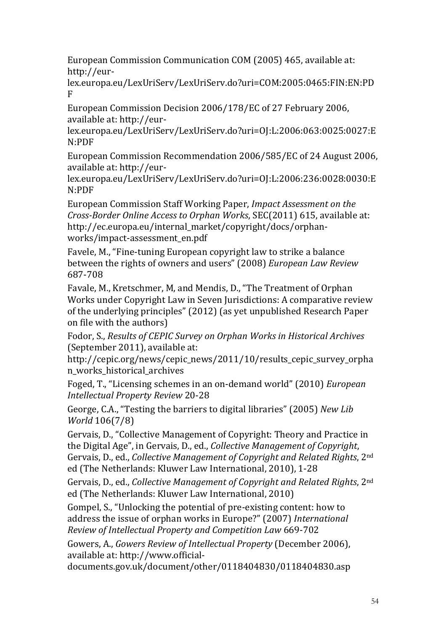European Commission Communication COM (2005) 465, available at: http://eur-

lex.europa.eu/LexUriServ/LexUriServ.do?uri=COM:2005:0465:FIN:EN:PD F

European Commission Decision 2006/178/EC of 27 February 2006, available at: http://eur-

lex.europa.eu/LexUriServ/LexUriServ.do?uri=OJ:L:2006:063:0025:0027:E N:PDF

European Commission Recommendation 2006/585/EC of 24 August 2006, available at: http://eur-

lex.europa.eu/LexUriServ/LexUriServ.do?uri=OJ:L:2006:236:0028:0030:E N:PDF

European Commission Staff Working Paper, Impact Assessment on the Cross-Border Online Access to Orphan Works, SEC(2011) 615, available at: http://ec.europa.eu/internal\_market/copyright/docs/orphanworks/impact-assessment\_en.pdf

Favele, M., "Fine-tuning European copyright law to strike a balance between the rights of owners and users" (2008) European Law Review 687-708

Favale, M., Kretschmer, M, and Mendis, D., "The Treatment of Orphan Works under Copyright Law in Seven Jurisdictions: A comparative review of the underlying principles" (2012) (as yet unpublished Research Paper on file with the authors)

Fodor, S., Results of CEPIC Survey on Orphan Works in Historical Archives (September 2011), available at:

http://cepic.org/news/cepic\_news/2011/10/results\_cepic\_survey\_orpha n\_works\_historical\_archives

Foged, T., "Licensing schemes in an on-demand world" (2010) European Intellectual Property Review 20-28

George, C.A., "Testing the barriers to digital libraries" (2005) New Lib World 106(7/8)

Gervais, D., "Collective Management of Copyright: Theory and Practice in the Digital Age", in Gervais, D., ed., Collective Management of Copyright, Gervais, D., ed., Collective Management of Copyright and Related Rights, 2nd ed (The Netherlands: Kluwer Law International, 2010), 1-28

Gervais, D., ed., Collective Management of Copyright and Related Rights, 2nd ed (The Netherlands: Kluwer Law International, 2010)

Gompel, S., "Unlocking the potential of pre-existing content: how to address the issue of orphan works in Europe?" (2007) International Review of Intellectual Property and Competition Law 669-702

Gowers, A., Gowers Review of Intellectual Property (December 2006), available at: http://www.official-

documents.gov.uk/document/other/0118404830/0118404830.asp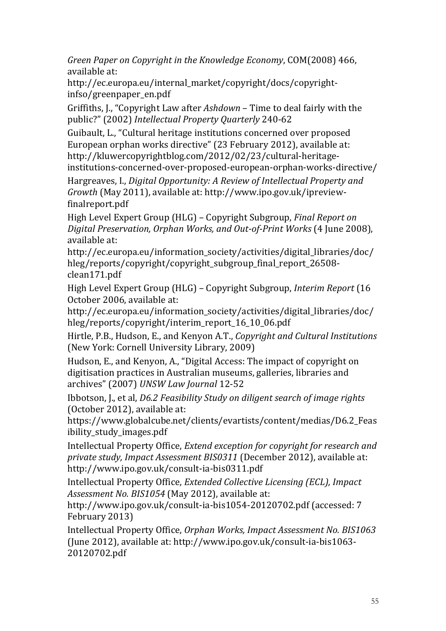Green Paper on Copyright in the Knowledge Economy, COM(2008) 466, available at:

http://ec.europa.eu/internal\_market/copyright/docs/copyrightinfso/greenpaper\_en.pdf

Griffiths, J., "Copyright Law after Ashdown – Time to deal fairly with the public?" (2002) Intellectual Property Quarterly 240-62

Guibault, L., "Cultural heritage institutions concerned over proposed European orphan works directive" (23 February 2012), available at: http://kluwercopyrightblog.com/2012/02/23/cultural-heritageinstitutions-concerned-over-proposed-european-orphan-works-directive/

Hargreaves, I., Digital Opportunity: A Review of Intellectual Property and Growth (May 2011), available at: http://www.ipo.gov.uk/ipreviewfinalreport.pdf

High Level Expert Group (HLG) – Copyright Subgroup, Final Report on Digital Preservation, Orphan Works, and Out-of-Print Works (4 June 2008), available at:

http://ec.europa.eu/information\_society/activities/digital\_libraries/doc/ hleg/reports/copyright/copyright\_subgroup\_final\_report\_26508 clean171.pdf

High Level Expert Group (HLG) – Copyright Subgroup, Interim Report (16 October 2006, available at:

http://ec.europa.eu/information\_society/activities/digital\_libraries/doc/ hleg/reports/copyright/interim\_report\_16\_10\_06.pdf

Hirtle, P.B., Hudson, E., and Kenyon A.T., Copyright and Cultural Institutions (New York: Cornell University Library, 2009)

Hudson, E., and Kenyon, A., "Digital Access: The impact of copyright on digitisation practices in Australian museums, galleries, libraries and archives" (2007) UNSW Law Journal 12-52

Ibbotson, J., et al, D6.2 Feasibility Study on diligent search of image rights (October 2012), available at:

https://www.globalcube.net/clients/evartists/content/medias/D6.2\_Feas ibility\_study\_images.pdf

Intellectual Property Office, Extend exception for copyright for research and private study, Impact Assessment BIS0311 (December 2012), available at: http://www.ipo.gov.uk/consult-ia-bis0311.pdf

Intellectual Property Office, Extended Collective Licensing (ECL), Impact Assessment No. BIS1054 (May 2012), available at:

http://www.ipo.gov.uk/consult-ia-bis1054-20120702.pdf (accessed: 7 February 2013)

Intellectual Property Office, Orphan Works, Impact Assessment No. BIS1063 (June 2012), available at: http://www.ipo.gov.uk/consult-ia-bis1063- 20120702.pdf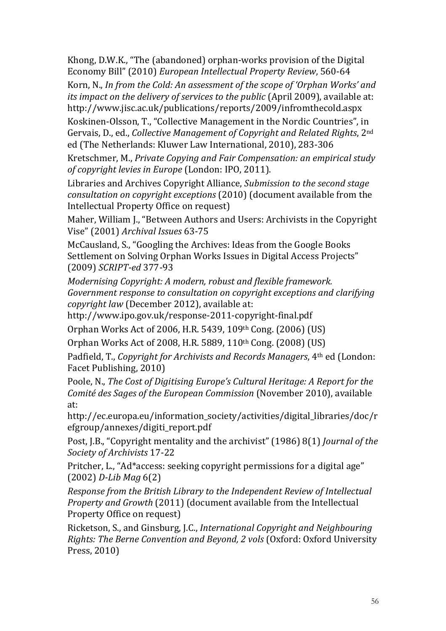Khong, D.W.K., "The (abandoned) orphan-works provision of the Digital Economy Bill" (2010) European Intellectual Property Review, 560-64

Korn, N., In from the Cold: An assessment of the scope of 'Orphan Works' and its impact on the delivery of services to the public (April 2009), available at: http://www.jisc.ac.uk/publications/reports/2009/infromthecold.aspx

Koskinen-Olsson, T., "Collective Management in the Nordic Countries", in Gervais, D., ed., Collective Management of Copyright and Related Rights, 2nd ed (The Netherlands: Kluwer Law International, 2010), 283-306

Kretschmer, M., Private Copying and Fair Compensation: an empirical study of copyright levies in Europe (London: IPO, 2011).

Libraries and Archives Copyright Alliance, Submission to the second stage consultation on copyright exceptions (2010) (document available from the Intellectual Property Office on request)

Maher, William J., "Between Authors and Users: Archivists in the Copyright Vise" (2001) Archival Issues 63-75

McCausland, S., "Googling the Archives: Ideas from the Google Books Settlement on Solving Orphan Works Issues in Digital Access Projects" (2009) SCRIPT-ed 377-93

Modernising Copyright: A modern, robust and flexible framework. Government response to consultation on copyright exceptions and clarifying copyright law (December 2012), available at:

http://www.ipo.gov.uk/response-2011-copyright-final.pdf

Orphan Works Act of 2006, H.R. 5439, 109th Cong. (2006) (US)

Orphan Works Act of 2008, H.R. 5889, 110th Cong. (2008) (US)

Padfield, T., Copyright for Archivists and Records Managers, 4th ed (London: Facet Publishing, 2010)

Poole, N., The Cost of Digitising Europe's Cultural Heritage: A Report for the Comité des Sages of the European Commission (November 2010), available at:

http://ec.europa.eu/information\_society/activities/digital\_libraries/doc/r efgroup/annexes/digiti\_report.pdf

Post, J.B., "Copyright mentality and the archivist" (1986) 8(1) Journal of the Society of Archivists 17-22

Pritcher, L., "Ad\*access: seeking copyright permissions for a digital age" (2002) D-Lib Mag 6(2)

Response from the British Library to the Independent Review of Intellectual Property and Growth (2011) (document available from the Intellectual Property Office on request)

Ricketson, S., and Ginsburg, J.C., International Copyright and Neighbouring Rights: The Berne Convention and Beyond, 2 vols (Oxford: Oxford University Press, 2010)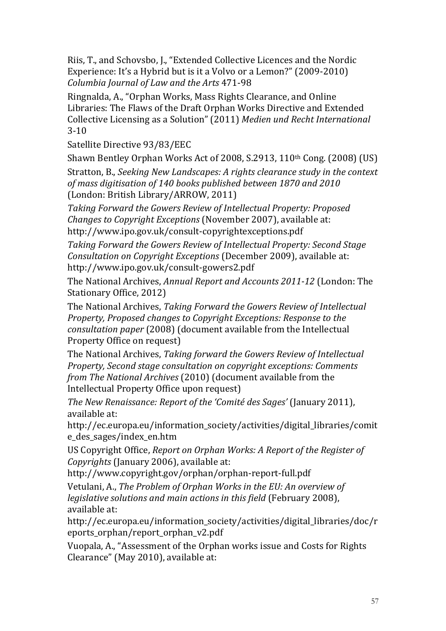Riis, T., and Schovsbo, J., "Extended Collective Licences and the Nordic Experience: It's a Hybrid but is it a Volvo or a Lemon?" (2009-2010) Columbia Journal of Law and the Arts 471-98

Ringnalda, A., "Orphan Works, Mass Rights Clearance, and Online Libraries: The Flaws of the Draft Orphan Works Directive and Extended Collective Licensing as a Solution" (2011) Medien und Recht International 3-10

Satellite Directive 93/83/EEC

Shawn Bentley Orphan Works Act of 2008, S.2913, 110th Cong. (2008) (US)

Stratton, B., Seeking New Landscapes: A rights clearance study in the context of mass digitisation of 140 books published between 1870 and 2010 (London: British Library/ARROW, 2011)

Taking Forward the Gowers Review of Intellectual Property: Proposed Changes to Copyright Exceptions (November 2007), available at: http://www.ipo.gov.uk/consult-copyrightexceptions.pdf

Taking Forward the Gowers Review of Intellectual Property: Second Stage Consultation on Copyright Exceptions (December 2009), available at: http://www.ipo.gov.uk/consult-gowers2.pdf

The National Archives, Annual Report and Accounts 2011-12 (London: The Stationary Office, 2012)

The National Archives, Taking Forward the Gowers Review of Intellectual Property, Proposed changes to Copyright Exceptions: Response to the consultation paper (2008) (document available from the Intellectual Property Office on request)

The National Archives, Taking forward the Gowers Review of Intellectual Property, Second stage consultation on copyright exceptions: Comments from The National Archives (2010) (document available from the Intellectual Property Office upon request)

The New Renaissance: Report of the 'Comité des Sages' (January 2011), available at:

http://ec.europa.eu/information\_society/activities/digital\_libraries/comit e\_des\_sages/index\_en.htm

US Copyright Office, Report on Orphan Works: A Report of the Register of Copyrights (January 2006), available at:

http://www.copyright.gov/orphan/orphan-report-full.pdf

Vetulani, A., The Problem of Orphan Works in the EU: An overview of legislative solutions and main actions in this field (February 2008), available at:

http://ec.europa.eu/information\_society/activities/digital\_libraries/doc/r eports\_orphan/report\_orphan\_v2.pdf

Vuopala, A., "Assessment of the Orphan works issue and Costs for Rights Clearance" (May 2010), available at: